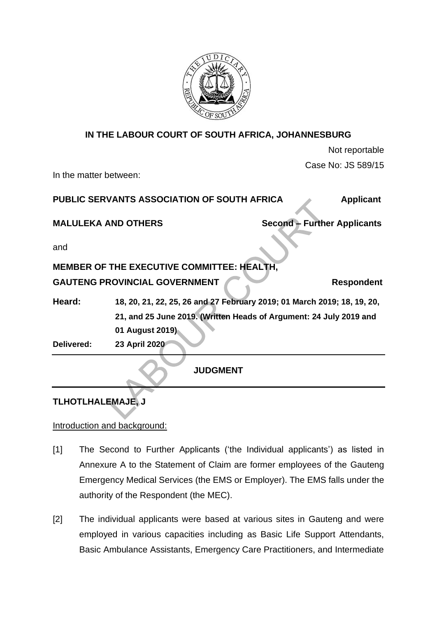

# **IN THE LABOUR COURT OF SOUTH AFRICA, JOHANNESBURG**

| Not reportable |                    |  |
|----------------|--------------------|--|
|                | Case No: JS 589/15 |  |
|                |                    |  |

In the matter between:

| PUBLIC SERVANTS ASSOCIATION OF SOUTH AFRICA | <b>Applicant</b> |
|---------------------------------------------|------------------|
|                                             |                  |

**MALULEKA AND OTHERS Second – Further Applicants** 

and

# **MEMBER OF THE EXECUTIVE COMMITTEE: HEALTH,**

# GAUTENG PROVINCIAL GOVERNMENT Respondent

**Heard: 18, 20, 21, 22, 25, 26 and 27 February 2019; 01 March 2019; 18, 19, 20, 21, and 25 June 2019. (Written Heads of Argument: 24 July 2019 and 01 August 2019)**

**Delivered: 23 April 2020**

**JUDGMENT**

# **TLHOTLHALEMAJE, J**

### Introduction and background:

- [1] The Second to Further Applicants ('the Individual applicants') as listed in Annexure A to the Statement of Claim are former employees of the Gauteng Emergency Medical Services (the EMS or Employer). The EMS falls under the authority of the Respondent (the MEC).
- [2] The individual applicants were based at various sites in Gauteng and were employed in various capacities including as Basic Life Support Attendants, Basic Ambulance Assistants, Emergency Care Practitioners, and Intermediate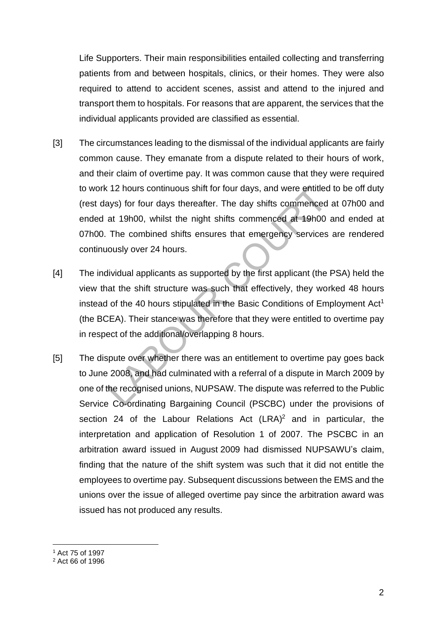Life Supporters. Their main responsibilities entailed collecting and transferring patients from and between hospitals, clinics, or their homes. They were also required to attend to accident scenes, assist and attend to the injured and transport them to hospitals. For reasons that are apparent, the services that the individual applicants provided are classified as essential.

- [3] The circumstances leading to the dismissal of the individual applicants are fairly common cause. They emanate from a dispute related to their hours of work, and their claim of overtime pay. It was common cause that they were required to work 12 hours continuous shift for four days, and were entitled to be off duty (rest days) for four days thereafter. The day shifts commenced at 07h00 and ended at 19h00, whilst the night shifts commenced at 19h00 and ended at 07h00. The combined shifts ensures that emergency services are rendered continuously over 24 hours.
- [4] The individual applicants as supported by the first applicant (the PSA) held the view that the shift structure was such that effectively, they worked 48 hours instead of the 40 hours stipulated in the Basic Conditions of Employment  $Act<sup>1</sup>$ (the BCEA). Their stance was therefore that they were entitled to overtime pay in respect of the additional/overlapping 8 hours.
- [5] The dispute over whether there was an entitlement to overtime pay goes back to June 2008, and had culminated with a referral of a dispute in March 2009 by one of the recognised unions, NUPSAW. The dispute was referred to the Public Service Co-ordinating Bargaining Council (PSCBC) under the provisions of section 24 of the Labour Relations Act  $(LRA)^2$  and in particular, the interpretation and application of Resolution 1 of 2007. The PSCBC in an arbitration award issued in August 2009 had dismissed NUPSAWU's claim, finding that the nature of the shift system was such that it did not entitle the employees to overtime pay. Subsequent discussions between the EMS and the unions over the issue of alleged overtime pay since the arbitration award was issued has not produced any results.

<sup>1</sup> Act 75 of 1997

<sup>2</sup> Act 66 of 1996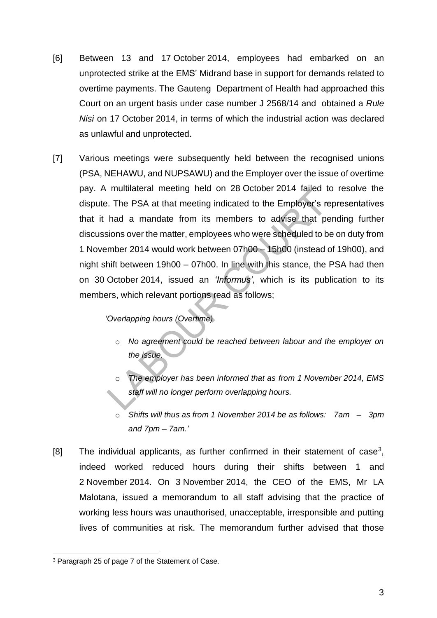- [6] Between 13 and 17 October 2014, employees had embarked on an unprotected strike at the EMS' Midrand base in support for demands related to overtime payments. The Gauteng Department of Health had approached this Court on an urgent basis under case number J 2568/14 and obtained a *Rule Nisi* on 17 October 2014, in terms of which the industrial action was declared as unlawful and unprotected.
- [7] Various meetings were subsequently held between the recognised unions (PSA, NEHAWU, and NUPSAWU) and the Employer over the issue of overtime pay. A multilateral meeting held on 28 October 2014 failed to resolve the dispute. The PSA at that meeting indicated to the Employer's representatives that it had a mandate from its members to advise that pending further discussions over the matter, employees who were scheduled to be on duty from 1 November 2014 would work between 07h00 – 15h00 (instead of 19h00), and night shift between 19h00 – 07h00. In line with this stance, the PSA had then on 30 October 2014, issued an *'Informus'*, which is its publication to its members, which relevant portions read as follows;

*'Overlapping hours (Overtime)*

- o *No agreement could be reached between labour and the employer on the issue.*
- o *The employer has been informed that as from 1 November 2014, EMS staff will no longer perform overlapping hours.*
- o *Shifts will thus as from 1 November 2014 be as follows: 7am – 3pm and 7pm – 7am.'*
- [8] The individual applicants, as further confirmed in their statement of case<sup>3</sup>, indeed worked reduced hours during their shifts between 1 and 2 November 2014. On 3 November 2014, the CEO of the EMS, Mr LA Malotana, issued a memorandum to all staff advising that the practice of working less hours was unauthorised, unacceptable, irresponsible and putting lives of communities at risk. The memorandum further advised that those

<sup>&</sup>lt;sup>3</sup> Paragraph 25 of page 7 of the Statement of Case.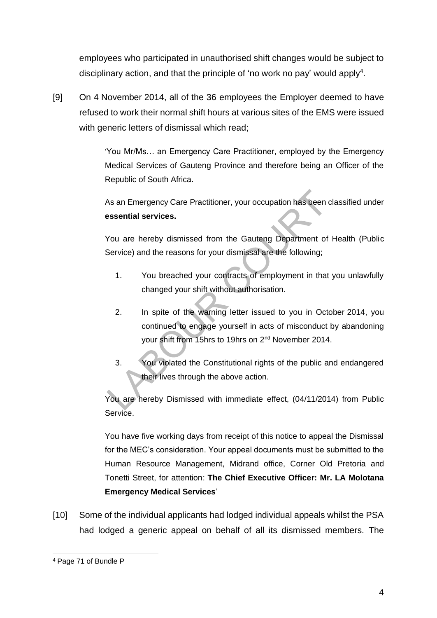employees who participated in unauthorised shift changes would be subject to disciplinary action, and that the principle of 'no work no pay' would apply<sup>4</sup>.

[9] On 4 November 2014, all of the 36 employees the Employer deemed to have refused to work their normal shift hours at various sites of the EMS were issued with generic letters of dismissal which read;

> 'You Mr/Ms… an Emergency Care Practitioner, employed by the Emergency Medical Services of Gauteng Province and therefore being an Officer of the Republic of South Africa.

> As an Emergency Care Practitioner, your occupation has been classified under **essential services.**

> You are hereby dismissed from the Gauteng Department of Health (Public Service) and the reasons for your dismissal are the following;

- 1. You breached your contracts of employment in that you unlawfully changed your shift without authorisation.
- 2. In spite of the warning letter issued to you in October 2014, you continued to engage yourself in acts of misconduct by abandoning your shift from 15hrs to 19hrs on 2nd November 2014.
- 3. You violated the Constitutional rights of the public and endangered their lives through the above action.

You are hereby Dismissed with immediate effect, (04/11/2014) from Public Service.

You have five working days from receipt of this notice to appeal the Dismissal for the MEC's consideration. Your appeal documents must be submitted to the Human Resource Management, Midrand office, Corner Old Pretoria and Tonetti Street, for attention: **The Chief Executive Officer: Mr. LA Molotana Emergency Medical Services**'

[10] Some of the individual applicants had lodged individual appeals whilst the PSA had lodged a generic appeal on behalf of all its dismissed members. The

<sup>4</sup> Page 71 of Bundle P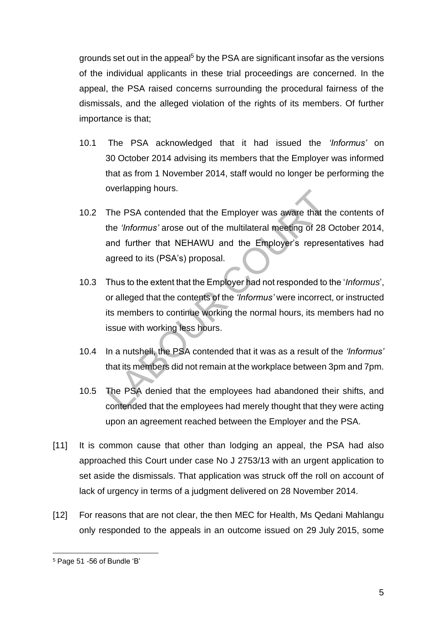grounds set out in the appeal<sup>5</sup> by the PSA are significant insofar as the versions of the individual applicants in these trial proceedings are concerned. In the appeal, the PSA raised concerns surrounding the procedural fairness of the dismissals, and the alleged violation of the rights of its members. Of further importance is that;

- 10.1 The PSA acknowledged that it had issued the *'Informus'* on 30 October 2014 advising its members that the Employer was informed that as from 1 November 2014, staff would no longer be performing the overlapping hours.
- 10.2 The PSA contended that the Employer was aware that the contents of the *'Informus'* arose out of the multilateral meeting of 28 October 2014, and further that NEHAWU and the Employer's representatives had agreed to its (PSA's) proposal.
- 10.3 Thus to the extent that the Employer had not responded to the '*Informus*', or alleged that the contents of the *'Informus'* were incorrect, or instructed its members to continue working the normal hours, its members had no issue with working less hours.
- 10.4 In a nutshell, the PSA contended that it was as a result of the *'Informus'* that its members did not remain at the workplace between 3pm and 7pm.
- 10.5 The PSA denied that the employees had abandoned their shifts, and contended that the employees had merely thought that they were acting upon an agreement reached between the Employer and the PSA.
- [11] It is common cause that other than lodging an appeal, the PSA had also approached this Court under case No J 2753/13 with an urgent application to set aside the dismissals. That application was struck off the roll on account of lack of urgency in terms of a judgment delivered on 28 November 2014.
- [12] For reasons that are not clear, the then MEC for Health, Ms Qedani Mahlangu only responded to the appeals in an outcome issued on 29 July 2015, some

<sup>5</sup> Page 51 -56 of Bundle 'B'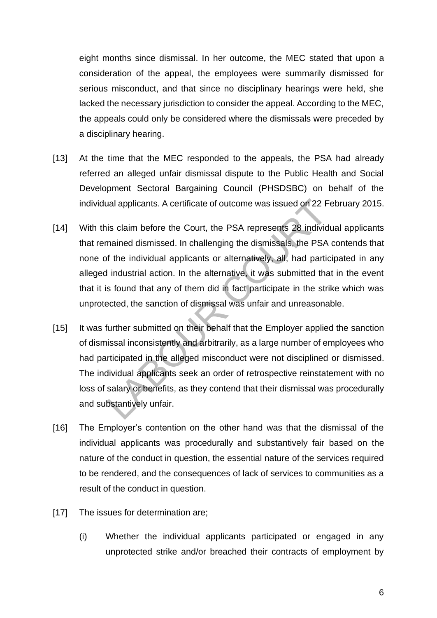eight months since dismissal. In her outcome, the MEC stated that upon a consideration of the appeal, the employees were summarily dismissed for serious misconduct, and that since no disciplinary hearings were held, she lacked the necessary jurisdiction to consider the appeal. According to the MEC, the appeals could only be considered where the dismissals were preceded by a disciplinary hearing.

- [13] At the time that the MEC responded to the appeals, the PSA had already referred an alleged unfair dismissal dispute to the Public Health and Social Development Sectoral Bargaining Council (PHSDSBC) on behalf of the individual applicants. A certificate of outcome was issued on 22 February 2015.
- [14] With this claim before the Court, the PSA represents 28 individual applicants that remained dismissed. In challenging the dismissals, the PSA contends that none of the individual applicants or alternatively, all, had participated in any alleged industrial action. In the alternative, it was submitted that in the event that it is found that any of them did in fact participate in the strike which was unprotected, the sanction of dismissal was unfair and unreasonable.
- [15] It was further submitted on their behalf that the Employer applied the sanction of dismissal inconsistently and arbitrarily, as a large number of employees who had participated in the alleged misconduct were not disciplined or dismissed. The individual applicants seek an order of retrospective reinstatement with no loss of salary or benefits, as they contend that their dismissal was procedurally and substantively unfair.
- [16] The Employer's contention on the other hand was that the dismissal of the individual applicants was procedurally and substantively fair based on the nature of the conduct in question, the essential nature of the services required to be rendered, and the consequences of lack of services to communities as a result of the conduct in question.
- [17] The issues for determination are;
	- (i) Whether the individual applicants participated or engaged in any unprotected strike and/or breached their contracts of employment by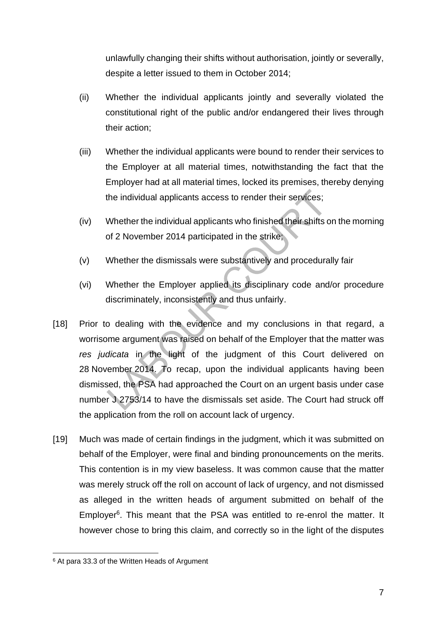unlawfully changing their shifts without authorisation, jointly or severally, despite a letter issued to them in October 2014;

- (ii) Whether the individual applicants jointly and severally violated the constitutional right of the public and/or endangered their lives through their action;
- (iii) Whether the individual applicants were bound to render their services to the Employer at all material times, notwithstanding the fact that the Employer had at all material times, locked its premises, thereby denying the individual applicants access to render their services;
- (iv) Whether the individual applicants who finished their shifts on the morning of 2 November 2014 participated in the strike;
- (v) Whether the dismissals were substantively and procedurally fair
- (vi) Whether the Employer applied its disciplinary code and/or procedure discriminately, inconsistently and thus unfairly.
- [18] Prior to dealing with the evidence and my conclusions in that regard, a worrisome argument was raised on behalf of the Employer that the matter was *res judicata* in the light of the judgment of this Court delivered on 28 November 2014. To recap, upon the individual applicants having been dismissed, the PSA had approached the Court on an urgent basis under case number J 2753/14 to have the dismissals set aside. The Court had struck off the application from the roll on account lack of urgency.
- [19] Much was made of certain findings in the judgment, which it was submitted on behalf of the Employer, were final and binding pronouncements on the merits. This contention is in my view baseless. It was common cause that the matter was merely struck off the roll on account of lack of urgency, and not dismissed as alleged in the written heads of argument submitted on behalf of the Employer<sup>6</sup>. This meant that the PSA was entitled to re-enrol the matter. It however chose to bring this claim, and correctly so in the light of the disputes

<sup>6</sup> At para 33.3 of the Written Heads of Argument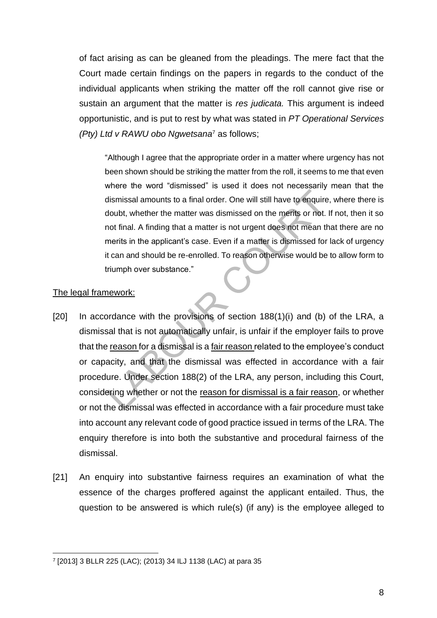of fact arising as can be gleaned from the pleadings. The mere fact that the Court made certain findings on the papers in regards to the conduct of the individual applicants when striking the matter off the roll cannot give rise or sustain an argument that the matter is *res judicata.* This argument is indeed opportunistic, and is put to rest by what was stated in *PT Operational Services (Pty) Ltd v RAWU obo Ngwetsana*<sup>7</sup> as follows;

"Although I agree that the appropriate order in a matter where urgency has not been shown should be striking the matter from the roll, it seems to me that even where the word "dismissed" is used it does not necessarily mean that the dismissal amounts to a final order. One will still have to enquire, where there is doubt, whether the matter was dismissed on the merits or not. If not, then it so not final. A finding that a matter is not urgent does not mean that there are no merits in the applicant's case. Even if a matter is dismissed for lack of urgency it can and should be re-enrolled. To reason otherwise would be to allow form to triumph over substance."

#### The legal framework:

- [20] In accordance with the provisions of section 188(1)(i) and (b) of the LRA, a dismissal that is not automatically unfair, is unfair if the employer fails to prove that the reason for a dismissal is a fair reason related to the employee's conduct or capacity, and that the dismissal was effected in accordance with a fair procedure. Under section 188(2) of the LRA, any person, including this Court, considering whether or not the reason for dismissal is a fair reason, or whether or not the dismissal was effected in accordance with a fair procedure must take into account any relevant code of good practice issued in terms of the LRA. The enquiry therefore is into both the substantive and procedural fairness of the dismissal.
- [21] An enquiry into substantive fairness requires an examination of what the essence of the charges proffered against the applicant entailed. Thus, the question to be answered is which rule(s) (if any) is the employee alleged to

<sup>7</sup> [2013] 3 BLLR 225 (LAC); (2013) 34 ILJ 1138 (LAC) at para 35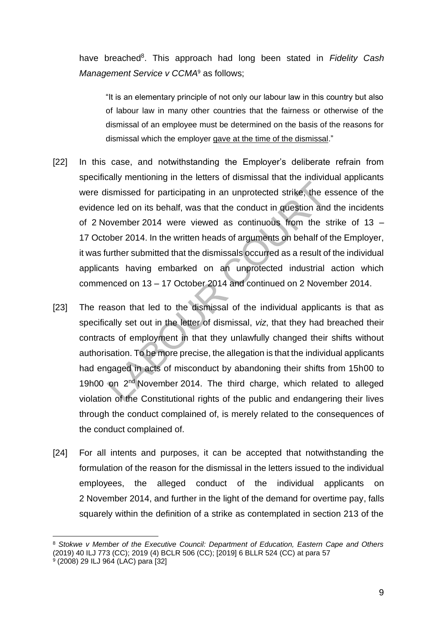have breached<sup>8</sup>. This approach had long been stated in Fidelity Cash *Management Service v CCMA*<sup>9</sup> as follows;

"It is an elementary principle of not only our labour law in this country but also of labour law in many other countries that the fairness or otherwise of the dismissal of an employee must be determined on the basis of the reasons for dismissal which the employer gave at the time of the dismissal."

- [22] In this case, and notwithstanding the Employer's deliberate refrain from specifically mentioning in the letters of dismissal that the individual applicants were dismissed for participating in an unprotected strike, the essence of the evidence led on its behalf, was that the conduct in question and the incidents of 2 November 2014 were viewed as continuous from the strike of 13 – 17 October 2014. In the written heads of arguments on behalf of the Employer, it was further submitted that the dismissals occurred as a result of the individual applicants having embarked on an unprotected industrial action which commenced on 13 – 17 October 2014 and continued on 2 November 2014.
- [23] The reason that led to the dismissal of the individual applicants is that as specifically set out in the letter of dismissal, *viz*, that they had breached their contracts of employment in that they unlawfully changed their shifts without authorisation. To be more precise, the allegation is that the individual applicants had engaged in acts of misconduct by abandoning their shifts from 15h00 to 19h00 on 2<sup>nd</sup> November 2014. The third charge, which related to alleged violation of the Constitutional rights of the public and endangering their lives through the conduct complained of, is merely related to the consequences of the conduct complained of.
- [24] For all intents and purposes, it can be accepted that notwithstanding the formulation of the reason for the dismissal in the letters issued to the individual employees, the alleged conduct of the individual applicants on 2 November 2014, and further in the light of the demand for overtime pay, falls squarely within the definition of a strike as contemplated in section 213 of the

<sup>8</sup> *Stokwe v Member of the Executive Council: Department of Education, Eastern Cape and Others* (2019) 40 ILJ 773 (CC); 2019 (4) BCLR 506 (CC); [2019] 6 BLLR 524 (CC) at para 57

<sup>9</sup> (2008) 29 ILJ 964 (LAC) para [32]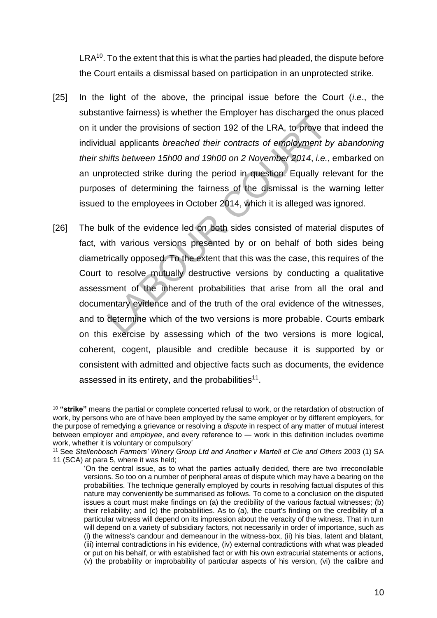$LRA^{10}$ . To the extent that this is what the parties had pleaded, the dispute before the Court entails a dismissal based on participation in an unprotected strike.

- [25] In the light of the above, the principal issue before the Court (*i.e*., the substantive fairness) is whether the Employer has discharged the onus placed on it under the provisions of section 192 of the LRA, to prove that indeed the individual applicants *breached their contracts of employment by abandoning their shifts between 15h00 and 19h00 on 2 November 2014*, *i.e.*, embarked on an unprotected strike during the period in question. Equally relevant for the purposes of determining the fairness of the dismissal is the warning letter issued to the employees in October 2014, which it is alleged was ignored.
- [26] The bulk of the evidence led on both sides consisted of material disputes of fact, with various versions presented by or on behalf of both sides being diametrically opposed. To the extent that this was the case, this requires of the Court to resolve mutually destructive versions by conducting a qualitative assessment of the inherent probabilities that arise from all the oral and documentary evidence and of the truth of the oral evidence of the witnesses, and to determine which of the two versions is more probable. Courts embark on this exercise by assessing which of the two versions is more logical, coherent, cogent, plausible and credible because it is supported by or consistent with admitted and objective facts such as documents, the evidence assessed in its entirety, and the probabilities $11$ .

<sup>10</sup> **"strike"** means the partial or complete concerted refusal to work, or the retardation of obstruction of work, by persons who are of have been employed by the same employer or by different employers, for the purpose of remedying a grievance or resolving a *dispute* in respect of any matter of mutual interest between employer and *employee*, and every reference to ― work in this definition includes overtime work, whether it is voluntary or compulsory'

<sup>11</sup> See *Stellenbosch Farmers' Winery Group Ltd and Another v Martell et Cie and Others* 2003 (1) SA 11 (SCA) at para 5, where it was held;

<sup>&#</sup>x27;On the central issue, as to what the parties actually decided, there are two irreconcilable versions. So too on a number of peripheral areas of dispute which may have a bearing on the probabilities. The technique generally employed by courts in resolving factual disputes of this nature may conveniently be summarised as follows. To come to a conclusion on the disputed issues a court must make findings on (a) the credibility of the various factual witnesses; (b) their reliability; and (c) the probabilities. As to (a), the court's finding on the credibility of a particular witness will depend on its impression about the veracity of the witness. That in turn will depend on a variety of subsidiary factors, not necessarily in order of importance, such as (i) the witness's candour and demeanour in the witness-box, (ii) his bias, latent and blatant, (iii) internal contradictions in his evidence, (iv) external contradictions with what was pleaded or put on his behalf, or with established fact or with his own extracurial statements or actions, (v) the probability or improbability of particular aspects of his version, (vi) the calibre and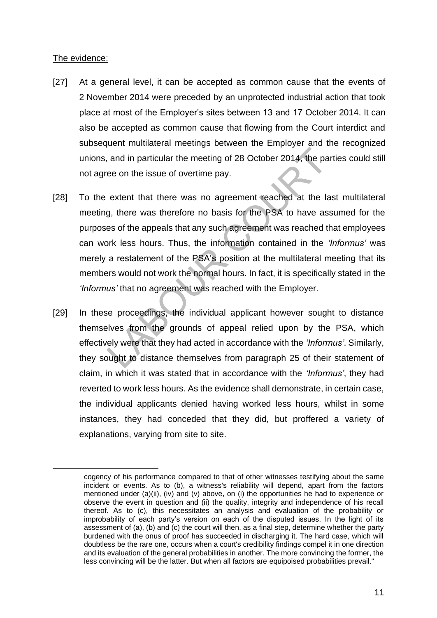#### The evidence:

- [27] At a general level, it can be accepted as common cause that the events of 2 November 2014 were preceded by an unprotected industrial action that took place at most of the Employer's sites between 13 and 17 October 2014. It can also be accepted as common cause that flowing from the Court interdict and subsequent multilateral meetings between the Employer and the recognized unions, and in particular the meeting of 28 October 2014, the parties could still not agree on the issue of overtime pay.
- [28] To the extent that there was no agreement reached at the last multilateral meeting, there was therefore no basis for the PSA to have assumed for the purposes of the appeals that any such agreement was reached that employees can work less hours. Thus, the information contained in the *'Informus'* was merely a restatement of the PSA's position at the multilateral meeting that its members would not work the normal hours. In fact, it is specifically stated in the *'Informus'* that no agreement was reached with the Employer.
- [29] In these proceedings, the individual applicant however sought to distance themselves from the grounds of appeal relied upon by the PSA, which effectively were that they had acted in accordance with the *'Informus'*. Similarly, they sought to distance themselves from paragraph 25 of their statement of claim, in which it was stated that in accordance with the *'Informus'*, they had reverted to work less hours. As the evidence shall demonstrate, in certain case, the individual applicants denied having worked less hours, whilst in some instances, they had conceded that they did, but proffered a variety of explanations, varying from site to site.

cogency of his performance compared to that of other witnesses testifying about the same incident or events. As to (b), a witness's reliability will depend, apart from the factors mentioned under (a)(ii), (iv) and (v) above, on (i) the opportunities he had to experience or observe the event in question and (ii) the quality, integrity and independence of his recall thereof. As to (c), this necessitates an analysis and evaluation of the probability or improbability of each party's version on each of the disputed issues. In the light of its assessment of (a), (b) and (c) the court will then, as a final step, determine whether the party burdened with the onus of proof has succeeded in discharging it. The hard case, which will doubtless be the rare one, occurs when a court's credibility findings compel it in one direction and its evaluation of the general probabilities in another. The more convincing the former, the less convincing will be the latter. But when all factors are equipoised probabilities prevail."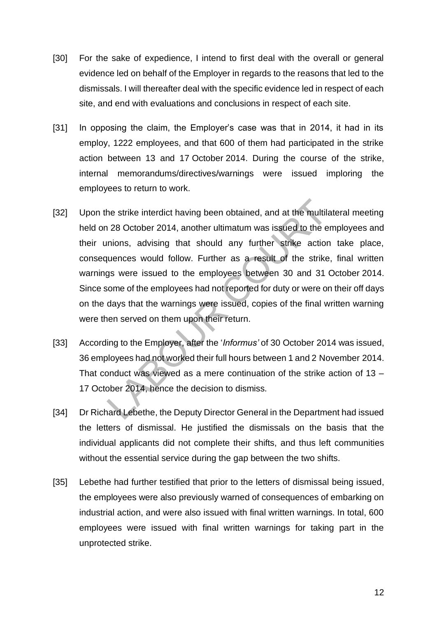- [30] For the sake of expedience, I intend to first deal with the overall or general evidence led on behalf of the Employer in regards to the reasons that led to the dismissals. I will thereafter deal with the specific evidence led in respect of each site, and end with evaluations and conclusions in respect of each site.
- [31] In opposing the claim, the Employer's case was that in 2014, it had in its employ, 1222 employees, and that 600 of them had participated in the strike action between 13 and 17 October 2014. During the course of the strike, internal memorandums/directives/warnings were issued imploring the employees to return to work.
- [32] Upon the strike interdict having been obtained, and at the multilateral meeting held on 28 October 2014, another ultimatum was issued to the employees and their unions, advising that should any further strike action take place, consequences would follow. Further as a result of the strike, final written warnings were issued to the employees between 30 and 31 October 2014. Since some of the employees had not reported for duty or were on their off days on the days that the warnings were issued, copies of the final written warning were then served on them upon their return.
- [33] According to the Employer, after the '*Informus'* of 30 October 2014 was issued, 36 employees had not worked their full hours between 1 and 2 November 2014. That conduct was viewed as a mere continuation of the strike action of 13 – 17 October 2014, hence the decision to dismiss.
- [34] Dr Richard Lebethe, the Deputy Director General in the Department had issued the letters of dismissal. He justified the dismissals on the basis that the individual applicants did not complete their shifts, and thus left communities without the essential service during the gap between the two shifts.
- [35] Lebethe had further testified that prior to the letters of dismissal being issued, the employees were also previously warned of consequences of embarking on industrial action, and were also issued with final written warnings. In total, 600 employees were issued with final written warnings for taking part in the unprotected strike.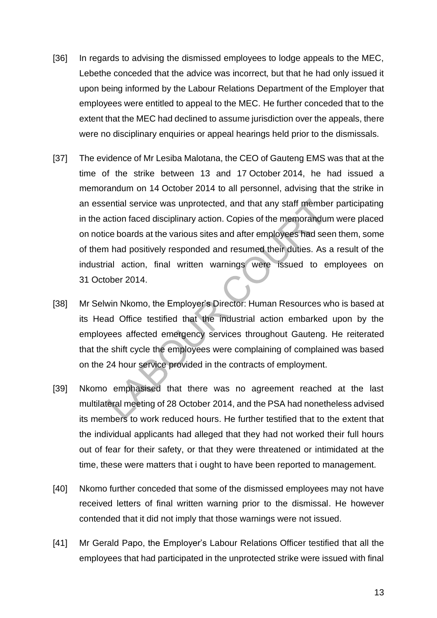- [36] In regards to advising the dismissed employees to lodge appeals to the MEC, Lebethe conceded that the advice was incorrect, but that he had only issued it upon being informed by the Labour Relations Department of the Employer that employees were entitled to appeal to the MEC. He further conceded that to the extent that the MEC had declined to assume jurisdiction over the appeals, there were no disciplinary enquiries or appeal hearings held prior to the dismissals.
- [37] The evidence of Mr Lesiba Malotana, the CEO of Gauteng EMS was that at the time of the strike between 13 and 17 October 2014, he had issued a memorandum on 14 October 2014 to all personnel, advising that the strike in an essential service was unprotected, and that any staff member participating in the action faced disciplinary action. Copies of the memorandum were placed on notice boards at the various sites and after employees had seen them, some of them had positively responded and resumed their duties. As a result of the industrial action, final written warnings were issued to employees on 31 October 2014.
- [38] Mr Selwin Nkomo, the Employer's Director: Human Resources who is based at its Head Office testified that the industrial action embarked upon by the employees affected emergency services throughout Gauteng. He reiterated that the shift cycle the employees were complaining of complained was based on the 24 hour service provided in the contracts of employment.
- [39] Nkomo emphasised that there was no agreement reached at the last multilateral meeting of 28 October 2014, and the PSA had nonetheless advised its members to work reduced hours. He further testified that to the extent that the individual applicants had alleged that they had not worked their full hours out of fear for their safety, or that they were threatened or intimidated at the time, these were matters that i ought to have been reported to management.
- [40] Nkomo further conceded that some of the dismissed employees may not have received letters of final written warning prior to the dismissal. He however contended that it did not imply that those warnings were not issued.
- [41] Mr Gerald Papo, the Employer's Labour Relations Officer testified that all the employees that had participated in the unprotected strike were issued with final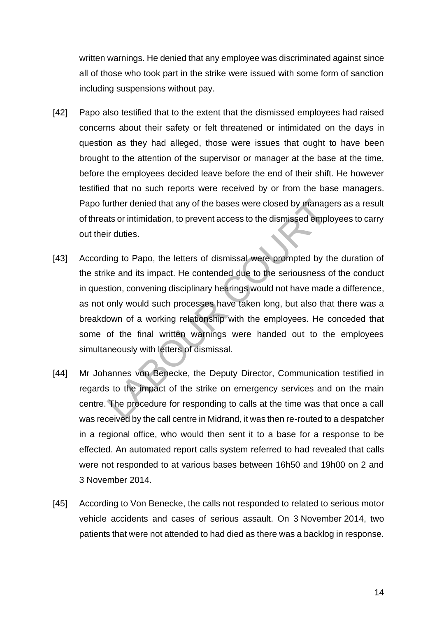written warnings. He denied that any employee was discriminated against since all of those who took part in the strike were issued with some form of sanction including suspensions without pay.

- [42] Papo also testified that to the extent that the dismissed employees had raised concerns about their safety or felt threatened or intimidated on the days in question as they had alleged, those were issues that ought to have been brought to the attention of the supervisor or manager at the base at the time, before the employees decided leave before the end of their shift. He however testified that no such reports were received by or from the base managers. Papo further denied that any of the bases were closed by managers as a result of threats or intimidation, to prevent access to the dismissed employees to carry out their duties.
- [43] According to Papo, the letters of dismissal were prompted by the duration of the strike and its impact. He contended due to the seriousness of the conduct in question, convening disciplinary hearings would not have made a difference, as not only would such processes have taken long, but also that there was a breakdown of a working relationship with the employees. He conceded that some of the final written warnings were handed out to the employees simultaneously with letters of dismissal.
- [44] Mr Johannes von Benecke, the Deputy Director, Communication testified in regards to the impact of the strike on emergency services and on the main centre. The procedure for responding to calls at the time was that once a call was received by the call centre in Midrand, it was then re-routed to a despatcher in a regional office, who would then sent it to a base for a response to be effected. An automated report calls system referred to had revealed that calls were not responded to at various bases between 16h50 and 19h00 on 2 and 3 November 2014.
- [45] According to Von Benecke, the calls not responded to related to serious motor vehicle accidents and cases of serious assault. On 3 November 2014, two patients that were not attended to had died as there was a backlog in response.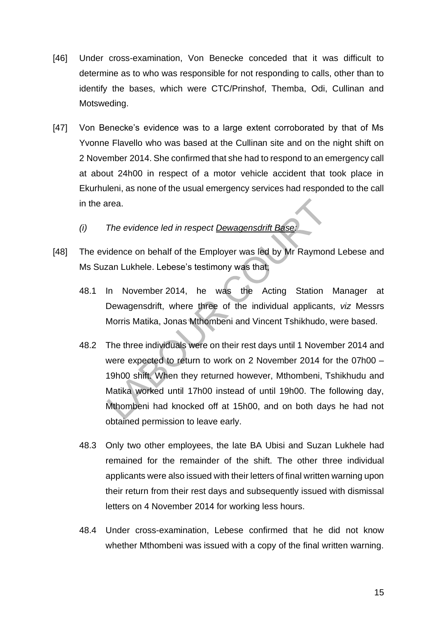- [46] Under cross-examination, Von Benecke conceded that it was difficult to determine as to who was responsible for not responding to calls, other than to identify the bases, which were CTC/Prinshof, Themba, Odi, Cullinan and Motsweding.
- [47] Von Benecke's evidence was to a large extent corroborated by that of Ms Yvonne Flavello who was based at the Cullinan site and on the night shift on 2 November 2014. She confirmed that she had to respond to an emergency call at about 24h00 in respect of a motor vehicle accident that took place in Ekurhuleni, as none of the usual emergency services had responded to the call in the area.
	- *(i) The evidence led in respect Dewagensdrift Base:*
- [48] The evidence on behalf of the Employer was led by Mr Raymond Lebese and Ms Suzan Lukhele. Lebese's testimony was that;
	- 48.1 In November 2014, he was the Acting Station Manager at Dewagensdrift, where three of the individual applicants, *viz* Messrs Morris Matika, Jonas Mthombeni and Vincent Tshikhudo, were based.
	- 48.2 The three individuals were on their rest days until 1 November 2014 and were expected to return to work on 2 November 2014 for the 07h00 – 19h00 shift. When they returned however, Mthombeni, Tshikhudu and Matika worked until 17h00 instead of until 19h00. The following day, Mthombeni had knocked off at 15h00, and on both days he had not obtained permission to leave early.
	- 48.3 Only two other employees, the late BA Ubisi and Suzan Lukhele had remained for the remainder of the shift. The other three individual applicants were also issued with their letters of final written warning upon their return from their rest days and subsequently issued with dismissal letters on 4 November 2014 for working less hours.
	- 48.4 Under cross-examination, Lebese confirmed that he did not know whether Mthombeni was issued with a copy of the final written warning.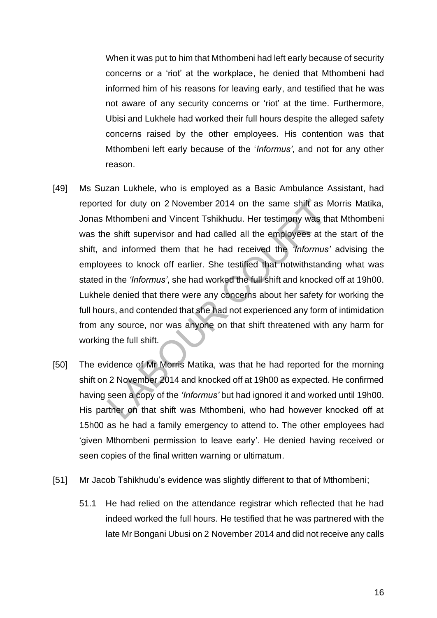When it was put to him that Mthombeni had left early because of security concerns or a 'riot' at the workplace, he denied that Mthombeni had informed him of his reasons for leaving early, and testified that he was not aware of any security concerns or 'riot' at the time. Furthermore, Ubisi and Lukhele had worked their full hours despite the alleged safety concerns raised by the other employees. His contention was that Mthombeni left early because of the '*Informus'*, and not for any other reason.

- [49] Ms Suzan Lukhele, who is employed as a Basic Ambulance Assistant, had reported for duty on 2 November 2014 on the same shift as Morris Matika, Jonas Mthombeni and Vincent Tshikhudu. Her testimony was that Mthombeni was the shift supervisor and had called all the employees at the start of the shift, and informed them that he had received the *'Informus'* advising the employees to knock off earlier. She testified that notwithstanding what was stated in the *'Informus'*, she had worked the full shift and knocked off at 19h00. Lukhele denied that there were any concerns about her safety for working the full hours, and contended that she had not experienced any form of intimidation from any source, nor was anyone on that shift threatened with any harm for working the full shift.
- [50] The evidence of Mr Morris Matika, was that he had reported for the morning shift on 2 November 2014 and knocked off at 19h00 as expected. He confirmed having seen a copy of the *'Informus'* but had ignored it and worked until 19h00. His partner on that shift was Mthombeni, who had however knocked off at 15h00 as he had a family emergency to attend to. The other employees had 'given Mthombeni permission to leave early'. He denied having received or seen copies of the final written warning or ultimatum.
- [51] Mr Jacob Tshikhudu's evidence was slightly different to that of Mthombeni;
	- 51.1 He had relied on the attendance registrar which reflected that he had indeed worked the full hours. He testified that he was partnered with the late Mr Bongani Ubusi on 2 November 2014 and did not receive any calls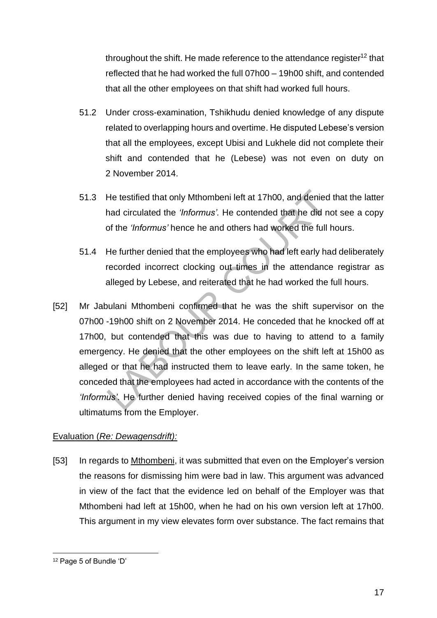throughout the shift. He made reference to the attendance register<sup>12</sup> that reflected that he had worked the full 07h00 – 19h00 shift, and contended that all the other employees on that shift had worked full hours.

- 51.2 Under cross-examination, Tshikhudu denied knowledge of any dispute related to overlapping hours and overtime. He disputed Lebese's version that all the employees, except Ubisi and Lukhele did not complete their shift and contended that he (Lebese) was not even on duty on 2 November 2014.
- 51.3 He testified that only Mthombeni left at 17h00, and denied that the latter had circulated the *'Informus'.* He contended that he did not see a copy of the *'Informus'* hence he and others had worked the full hours.
- 51.4 He further denied that the employees who had left early had deliberately recorded incorrect clocking out times in the attendance registrar as alleged by Lebese, and reiterated that he had worked the full hours.
- [52] Mr Jabulani Mthombeni confirmed that he was the shift supervisor on the 07h00 -19h00 shift on 2 November 2014. He conceded that he knocked off at 17h00, but contended that this was due to having to attend to a family emergency. He denied that the other employees on the shift left at 15h00 as alleged or that he had instructed them to leave early. In the same token, he conceded that the employees had acted in accordance with the contents of the *'Informus'*. He further denied having received copies of the final warning or ultimatums from the Employer.

### Evaluation (*Re: Dewagensdrift):*

[53] In regards to Mthombeni, it was submitted that even on the Employer's version the reasons for dismissing him were bad in law. This argument was advanced in view of the fact that the evidence led on behalf of the Employer was that Mthombeni had left at 15h00, when he had on his own version left at 17h00. This argument in my view elevates form over substance. The fact remains that

<sup>12</sup> Page 5 of Bundle 'D'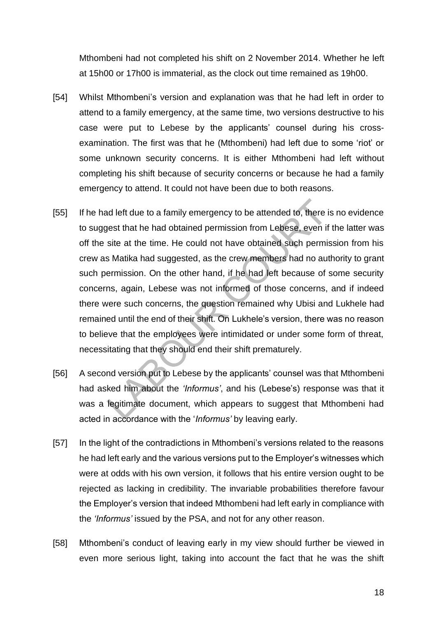Mthombeni had not completed his shift on 2 November 2014. Whether he left at 15h00 or 17h00 is immaterial, as the clock out time remained as 19h00.

- [54] Whilst Mthombeni's version and explanation was that he had left in order to attend to a family emergency, at the same time, two versions destructive to his case were put to Lebese by the applicants' counsel during his crossexamination. The first was that he (Mthombeni) had left due to some 'riot' or some unknown security concerns. It is either Mthombeni had left without completing his shift because of security concerns or because he had a family emergency to attend. It could not have been due to both reasons.
- [55] If he had left due to a family emergency to be attended to, there is no evidence to suggest that he had obtained permission from Lebese, even if the latter was off the site at the time. He could not have obtained such permission from his crew as Matika had suggested, as the crew members had no authority to grant such permission. On the other hand, if he had left because of some security concerns, again, Lebese was not informed of those concerns, and if indeed there were such concerns, the question remained why Ubisi and Lukhele had remained until the end of their shift. On Lukhele's version, there was no reason to believe that the employees were intimidated or under some form of threat, necessitating that they should end their shift prematurely.
- [56] A second version put to Lebese by the applicants' counsel was that Mthombeni had asked him about the *'Informus'*, and his (Lebese's) response was that it was a legitimate document, which appears to suggest that Mthombeni had acted in accordance with the '*Informus'* by leaving early.
- [57] In the light of the contradictions in Mthombeni's versions related to the reasons he had left early and the various versions put to the Employer's witnesses which were at odds with his own version, it follows that his entire version ought to be rejected as lacking in credibility. The invariable probabilities therefore favour the Employer's version that indeed Mthombeni had left early in compliance with the *'Informus'* issued by the PSA, and not for any other reason.
- [58] Mthombeni's conduct of leaving early in my view should further be viewed in even more serious light, taking into account the fact that he was the shift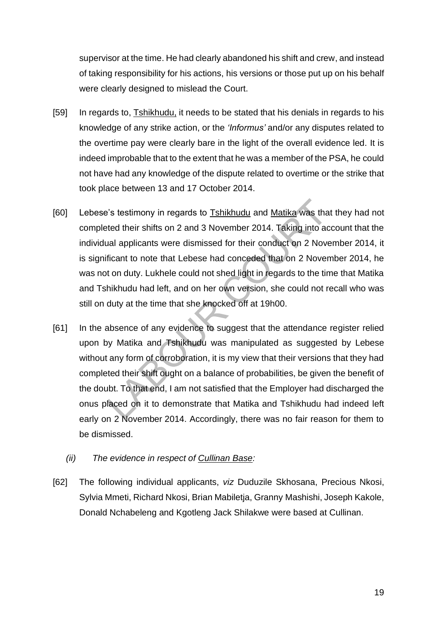supervisor at the time. He had clearly abandoned his shift and crew, and instead of taking responsibility for his actions, his versions or those put up on his behalf were clearly designed to mislead the Court.

- [59] In regards to, Tshikhudu, it needs to be stated that his denials in regards to his knowledge of any strike action, or the *'Informus'* and/or any disputes related to the overtime pay were clearly bare in the light of the overall evidence led. It is indeed improbable that to the extent that he was a member of the PSA, he could not have had any knowledge of the dispute related to overtime or the strike that took place between 13 and 17 October 2014.
- [60] Lebese's testimony in regards to Tshikhudu and Matika was that they had not completed their shifts on 2 and 3 November 2014. Taking into account that the individual applicants were dismissed for their conduct on 2 November 2014, it is significant to note that Lebese had conceded that on 2 November 2014, he was not on duty. Lukhele could not shed light in regards to the time that Matika and Tshikhudu had left, and on her own version, she could not recall who was still on duty at the time that she knocked off at 19h00.
- [61] In the absence of any evidence to suggest that the attendance register relied upon by Matika and Tshikhudu was manipulated as suggested by Lebese without any form of corroboration, it is my view that their versions that they had completed their shift ought on a balance of probabilities, be given the benefit of the doubt. To that end, I am not satisfied that the Employer had discharged the onus placed on it to demonstrate that Matika and Tshikhudu had indeed left early on 2 November 2014. Accordingly, there was no fair reason for them to be dismissed.
	- *(ii) The evidence in respect of Cullinan Base:*
- [62] The following individual applicants, *viz* Duduzile Skhosana, Precious Nkosi, Sylvia Mmeti, Richard Nkosi, Brian Mabiletja, Granny Mashishi, Joseph Kakole, Donald Nchabeleng and Kgotleng Jack Shilakwe were based at Cullinan.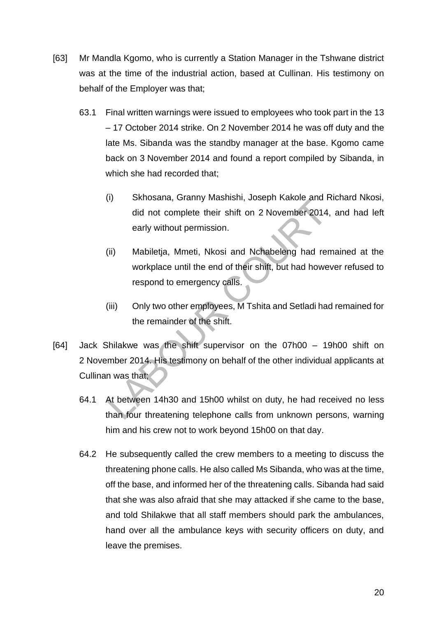- [63] Mr Mandla Kgomo, who is currently a Station Manager in the Tshwane district was at the time of the industrial action, based at Cullinan. His testimony on behalf of the Employer was that;
	- 63.1 Final written warnings were issued to employees who took part in the 13 – 17 October 2014 strike. On 2 November 2014 he was off duty and the late Ms. Sibanda was the standby manager at the base. Kgomo came back on 3 November 2014 and found a report compiled by Sibanda, in which she had recorded that;
		- (i) Skhosana, Granny Mashishi, Joseph Kakole and Richard Nkosi, did not complete their shift on 2 November 2014, and had left early without permission.
		- (ii) Mabiletja, Mmeti, Nkosi and Nchabeleng had remained at the workplace until the end of their shift, but had however refused to respond to emergency calls.
		- (iii) Only two other employees, M Tshita and Setladi had remained for the remainder of the shift.
- [64] Jack Shilakwe was the shift supervisor on the 07h00 19h00 shift on 2 November 2014. His testimony on behalf of the other individual applicants at Cullinan was that;
	- 64.1 At between 14h30 and 15h00 whilst on duty, he had received no less than four threatening telephone calls from unknown persons, warning him and his crew not to work beyond 15h00 on that day.
	- 64.2 He subsequently called the crew members to a meeting to discuss the threatening phone calls. He also called Ms Sibanda, who was at the time, off the base, and informed her of the threatening calls. Sibanda had said that she was also afraid that she may attacked if she came to the base, and told Shilakwe that all staff members should park the ambulances, hand over all the ambulance keys with security officers on duty, and leave the premises.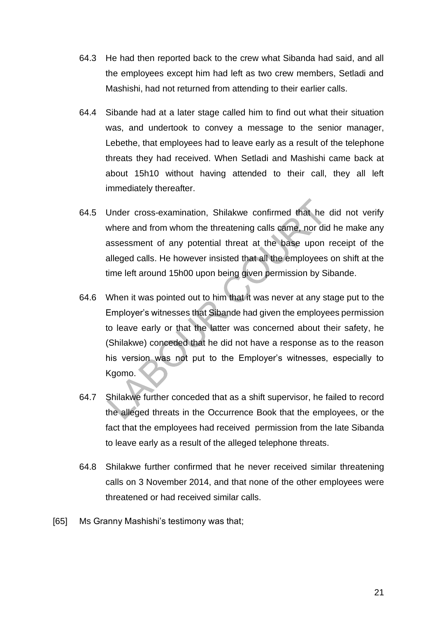- 64.3 He had then reported back to the crew what Sibanda had said, and all the employees except him had left as two crew members, Setladi and Mashishi, had not returned from attending to their earlier calls.
- 64.4 Sibande had at a later stage called him to find out what their situation was, and undertook to convey a message to the senior manager, Lebethe, that employees had to leave early as a result of the telephone threats they had received. When Setladi and Mashishi came back at about 15h10 without having attended to their call, they all left immediately thereafter.
- 64.5 Under cross-examination, Shilakwe confirmed that he did not verify where and from whom the threatening calls came, nor did he make any assessment of any potential threat at the base upon receipt of the alleged calls. He however insisted that all the employees on shift at the time left around 15h00 upon being given permission by Sibande.
- 64.6 When it was pointed out to him that it was never at any stage put to the Employer's witnesses that Sibande had given the employees permission to leave early or that the latter was concerned about their safety, he (Shilakwe) conceded that he did not have a response as to the reason his version was not put to the Employer's witnesses, especially to Kgomo.
- 64.7 Shilakwe further conceded that as a shift supervisor, he failed to record the alleged threats in the Occurrence Book that the employees, or the fact that the employees had received permission from the late Sibanda to leave early as a result of the alleged telephone threats.
- 64.8 Shilakwe further confirmed that he never received similar threatening calls on 3 November 2014, and that none of the other employees were threatened or had received similar calls.
- [65] Ms Granny Mashishi's testimony was that;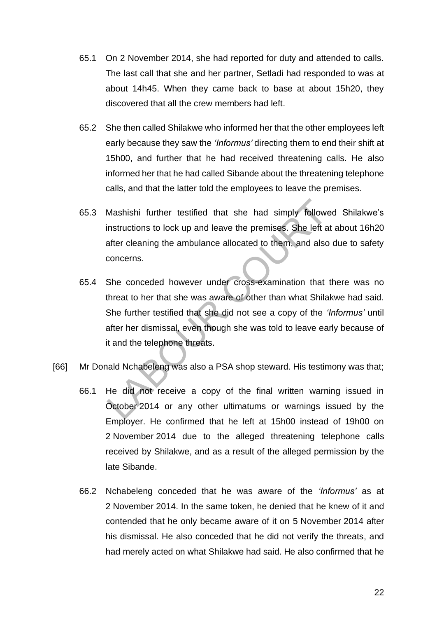- 65.1 On 2 November 2014, she had reported for duty and attended to calls. The last call that she and her partner, Setladi had responded to was at about 14h45. When they came back to base at about 15h20, they discovered that all the crew members had left.
- 65.2 She then called Shilakwe who informed her that the other employees left early because they saw the *'Informus'* directing them to end their shift at 15h00, and further that he had received threatening calls. He also informed her that he had called Sibande about the threatening telephone calls, and that the latter told the employees to leave the premises.
- 65.3 Mashishi further testified that she had simply followed Shilakwe's instructions to lock up and leave the premises. She left at about 16h20 after cleaning the ambulance allocated to them, and also due to safety concerns.
- 65.4 She conceded however under cross-examination that there was no threat to her that she was aware of other than what Shilakwe had said. She further testified that she did not see a copy of the *'Informus'* until after her dismissal, even though she was told to leave early because of it and the telephone threats.
- [66] Mr Donald Nchabeleng was also a PSA shop steward. His testimony was that;
	- 66.1 He did not receive a copy of the final written warning issued in October 2014 or any other ultimatums or warnings issued by the Employer. He confirmed that he left at 15h00 instead of 19h00 on 2 November 2014 due to the alleged threatening telephone calls received by Shilakwe, and as a result of the alleged permission by the late Sibande.
	- 66.2 Nchabeleng conceded that he was aware of the *'Informus'* as at 2 November 2014. In the same token, he denied that he knew of it and contended that he only became aware of it on 5 November 2014 after his dismissal. He also conceded that he did not verify the threats, and had merely acted on what Shilakwe had said. He also confirmed that he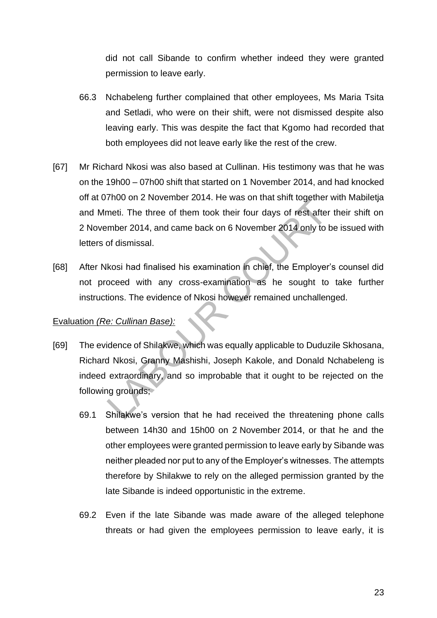did not call Sibande to confirm whether indeed they were granted permission to leave early.

- 66.3 Nchabeleng further complained that other employees, Ms Maria Tsita and Setladi, who were on their shift, were not dismissed despite also leaving early. This was despite the fact that Kgomo had recorded that both employees did not leave early like the rest of the crew.
- [67] Mr Richard Nkosi was also based at Cullinan. His testimony was that he was on the 19h00 – 07h00 shift that started on 1 November 2014, and had knocked off at 07h00 on 2 November 2014. He was on that shift together with Mabiletja and Mmeti. The three of them took their four days of rest after their shift on 2 November 2014, and came back on 6 November 2014 only to be issued with letters of dismissal.
- [68] After Nkosi had finalised his examination in chief, the Employer's counsel did not proceed with any cross-examination as he sought to take further instructions. The evidence of Nkosi however remained unchallenged.

### Evaluation *(Re: Cullinan Base):*

- [69] The evidence of Shilakwe, which was equally applicable to Duduzile Skhosana, Richard Nkosi, Granny Mashishi, Joseph Kakole, and Donald Nchabeleng is indeed extraordinary, and so improbable that it ought to be rejected on the following grounds;
	- 69.1 Shilakwe's version that he had received the threatening phone calls between 14h30 and 15h00 on 2 November 2014, or that he and the other employees were granted permission to leave early by Sibande was neither pleaded nor put to any of the Employer's witnesses. The attempts therefore by Shilakwe to rely on the alleged permission granted by the late Sibande is indeed opportunistic in the extreme.
	- 69.2 Even if the late Sibande was made aware of the alleged telephone threats or had given the employees permission to leave early, it is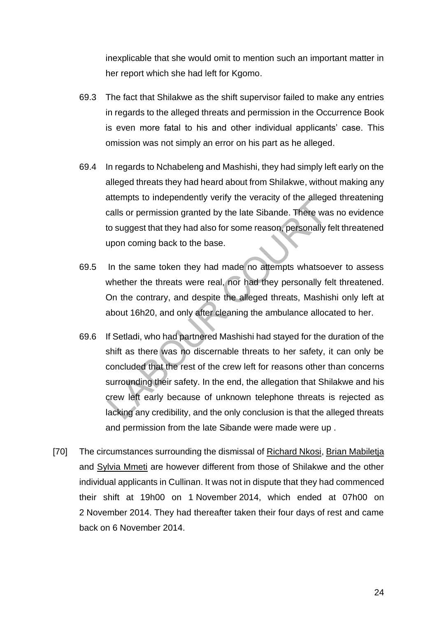inexplicable that she would omit to mention such an important matter in her report which she had left for Kgomo.

- 69.3 The fact that Shilakwe as the shift supervisor failed to make any entries in regards to the alleged threats and permission in the Occurrence Book is even more fatal to his and other individual applicants' case. This omission was not simply an error on his part as he alleged.
- 69.4 In regards to Nchabeleng and Mashishi, they had simply left early on the alleged threats they had heard about from Shilakwe, without making any attempts to independently verify the veracity of the alleged threatening calls or permission granted by the late Sibande. There was no evidence to suggest that they had also for some reason, personally felt threatened upon coming back to the base.
- 69.5 In the same token they had made no attempts whatsoever to assess whether the threats were real, nor had they personally felt threatened. On the contrary, and despite the alleged threats, Mashishi only left at about 16h20, and only after cleaning the ambulance allocated to her.
- 69.6 If Setladi, who had partnered Mashishi had stayed for the duration of the shift as there was no discernable threats to her safety, it can only be concluded that the rest of the crew left for reasons other than concerns surrounding their safety. In the end, the allegation that Shilakwe and his crew left early because of unknown telephone threats is rejected as lacking any credibility, and the only conclusion is that the alleged threats and permission from the late Sibande were made were up .
- [70] The circumstances surrounding the dismissal of Richard Nkosi, Brian Mabiletja and Sylvia Mmeti are however different from those of Shilakwe and the other individual applicants in Cullinan. It was not in dispute that they had commenced their shift at 19h00 on 1 November 2014, which ended at 07h00 on 2 November 2014. They had thereafter taken their four days of rest and came back on 6 November 2014.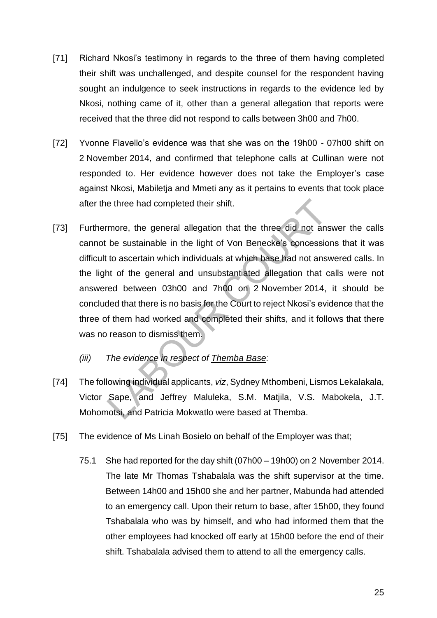- [71] Richard Nkosi's testimony in regards to the three of them having completed their shift was unchallenged, and despite counsel for the respondent having sought an indulgence to seek instructions in regards to the evidence led by Nkosi, nothing came of it, other than a general allegation that reports were received that the three did not respond to calls between 3h00 and 7h00.
- [72] Yvonne Flavello's evidence was that she was on the 19h00 07h00 shift on 2 November 2014, and confirmed that telephone calls at Cullinan were not responded to. Her evidence however does not take the Employer's case against Nkosi, Mabiletja and Mmeti any as it pertains to events that took place after the three had completed their shift.
- [73] Furthermore, the general allegation that the three did not answer the calls cannot be sustainable in the light of Von Benecke's concessions that it was difficult to ascertain which individuals at which base had not answered calls. In the light of the general and unsubstantiated allegation that calls were not answered between 03h00 and 7h00 on 2 November 2014, it should be concluded that there is no basis for the Court to reject Nkosi's evidence that the three of them had worked and completed their shifts, and it follows that there was no reason to dismiss them.
	- *(iii) The evidence in respect of Themba Base:*
- [74] The following individual applicants, *viz*, Sydney Mthombeni, Lismos Lekalakala, Victor Sape, and Jeffrey Maluleka, S.M. Matjila, V.S. Mabokela, J.T. Mohomotsi, and Patricia Mokwatlo were based at Themba.
- [75] The evidence of Ms Linah Bosielo on behalf of the Employer was that;
	- 75.1 She had reported for the day shift (07h00 19h00) on 2 November 2014. The late Mr Thomas Tshabalala was the shift supervisor at the time. Between 14h00 and 15h00 she and her partner, Mabunda had attended to an emergency call. Upon their return to base, after 15h00, they found Tshabalala who was by himself, and who had informed them that the other employees had knocked off early at 15h00 before the end of their shift. Tshabalala advised them to attend to all the emergency calls.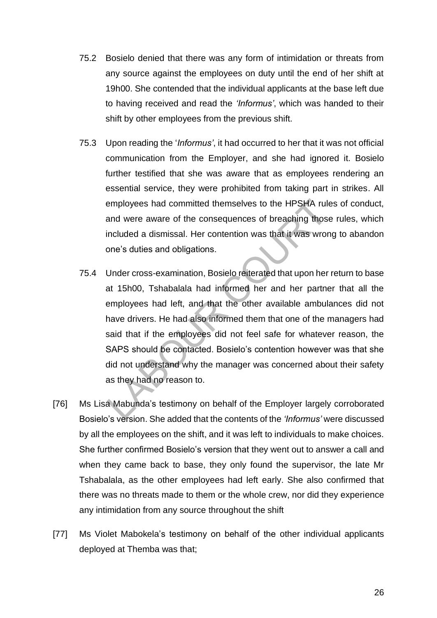- 75.2 Bosielo denied that there was any form of intimidation or threats from any source against the employees on duty until the end of her shift at 19h00. She contended that the individual applicants at the base left due to having received and read the *'Informus'*, which was handed to their shift by other employees from the previous shift.
- 75.3 Upon reading the '*Informus'*, it had occurred to her that it was not official communication from the Employer, and she had ignored it. Bosielo further testified that she was aware that as employees rendering an essential service, they were prohibited from taking part in strikes. All employees had committed themselves to the HPSHA rules of conduct, and were aware of the consequences of breaching those rules, which included a dismissal. Her contention was that it was wrong to abandon one's duties and obligations.
- 75.4 Under cross-examination, Bosielo reiterated that upon her return to base at 15h00, Tshabalala had informed her and her partner that all the employees had left, and that the other available ambulances did not have drivers. He had also informed them that one of the managers had said that if the employees did not feel safe for whatever reason, the SAPS should be contacted. Bosielo's contention however was that she did not understand why the manager was concerned about their safety as they had no reason to.
- [76] Ms Lisa Mabunda's testimony on behalf of the Employer largely corroborated Bosielo's version. She added that the contents of the *'Informus'* were discussed by all the employees on the shift, and it was left to individuals to make choices. She further confirmed Bosielo's version that they went out to answer a call and when they came back to base, they only found the supervisor, the late Mr Tshabalala, as the other employees had left early. She also confirmed that there was no threats made to them or the whole crew, nor did they experience any intimidation from any source throughout the shift
- [77] Ms Violet Mabokela's testimony on behalf of the other individual applicants deployed at Themba was that;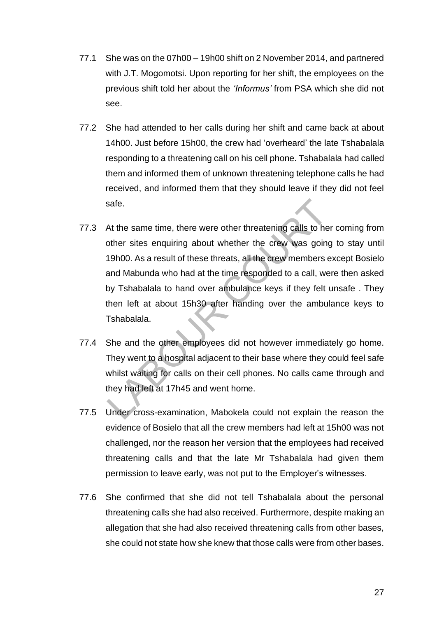- 77.1 She was on the 07h00 19h00 shift on 2 November 2014, and partnered with J.T. Mogomotsi. Upon reporting for her shift, the employees on the previous shift told her about the *'Informus'* from PSA which she did not see.
- 77.2 She had attended to her calls during her shift and came back at about 14h00. Just before 15h00, the crew had 'overheard' the late Tshabalala responding to a threatening call on his cell phone. Tshabalala had called them and informed them of unknown threatening telephone calls he had received, and informed them that they should leave if they did not feel safe.
- 77.3 At the same time, there were other threatening calls to her coming from other sites enquiring about whether the crew was going to stay until 19h00. As a result of these threats, all the crew members except Bosielo and Mabunda who had at the time responded to a call, were then asked by Tshabalala to hand over ambulance keys if they felt unsafe . They then left at about 15h30 after handing over the ambulance keys to Tshabalala.
- 77.4 She and the other employees did not however immediately go home. They went to a hospital adjacent to their base where they could feel safe whilst waiting for calls on their cell phones. No calls came through and they had left at 17h45 and went home.
- 77.5 Under cross-examination, Mabokela could not explain the reason the evidence of Bosielo that all the crew members had left at 15h00 was not challenged, nor the reason her version that the employees had received threatening calls and that the late Mr Tshabalala had given them permission to leave early, was not put to the Employer's witnesses.
- 77.6 She confirmed that she did not tell Tshabalala about the personal threatening calls she had also received. Furthermore, despite making an allegation that she had also received threatening calls from other bases, she could not state how she knew that those calls were from other bases.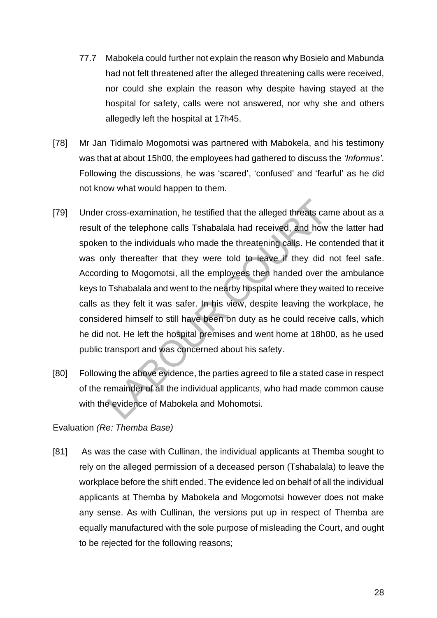- 77.7 Mabokela could further not explain the reason why Bosielo and Mabunda had not felt threatened after the alleged threatening calls were received, nor could she explain the reason why despite having stayed at the hospital for safety, calls were not answered, nor why she and others allegedly left the hospital at 17h45.
- [78] Mr Jan Tidimalo Mogomotsi was partnered with Mabokela, and his testimony was that at about 15h00, the employees had gathered to discuss the *'Informus'*. Following the discussions, he was 'scared', 'confused' and 'fearful' as he did not know what would happen to them.
- [79] Under cross-examination, he testified that the alleged threats came about as a result of the telephone calls Tshabalala had received, and how the latter had spoken to the individuals who made the threatening calls. He contended that it was only thereafter that they were told to leave if they did not feel safe. According to Mogomotsi, all the employees then handed over the ambulance keys to Tshabalala and went to the nearby hospital where they waited to receive calls as they felt it was safer. In his view, despite leaving the workplace, he considered himself to still have been on duty as he could receive calls, which he did not. He left the hospital premises and went home at 18h00, as he used public transport and was concerned about his safety.
- [80] Following the above evidence, the parties agreed to file a stated case in respect of the remainder of all the individual applicants, who had made common cause with the evidence of Mabokela and Mohomotsi.

### Evaluation *(Re: Themba Base)*

[81] As was the case with Cullinan, the individual applicants at Themba sought to rely on the alleged permission of a deceased person (Tshabalala) to leave the workplace before the shift ended. The evidence led on behalf of all the individual applicants at Themba by Mabokela and Mogomotsi however does not make any sense. As with Cullinan, the versions put up in respect of Themba are equally manufactured with the sole purpose of misleading the Court, and ought to be rejected for the following reasons;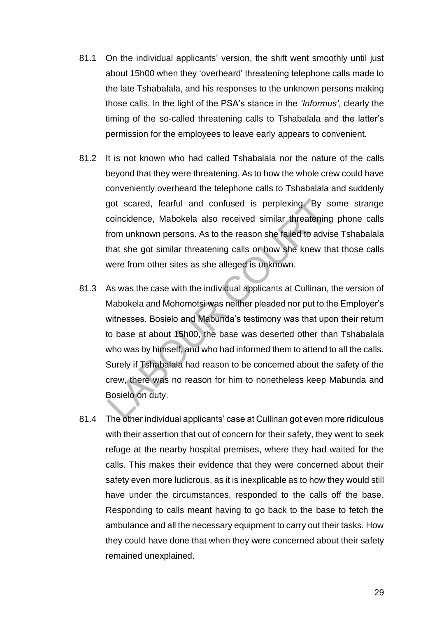- 81.1 On the individual applicants' version, the shift went smoothly until just about 15h00 when they 'overheard' threatening telephone calls made to the late Tshabalala, and his responses to the unknown persons making those calls. In the light of the PSA's stance in the *'Informus'*, clearly the timing of the so-called threatening calls to Tshabalala and the latter's permission for the employees to leave early appears to convenient.
- 81.2 It is not known who had called Tshabalala nor the nature of the calls beyond that they were threatening. As to how the whole crew could have conveniently overheard the telephone calls to Tshabalala and suddenly got scared, fearful and confused is perplexing. By some strange coincidence, Mabokela also received similar threatening phone calls from unknown persons. As to the reason she failed to advise Tshabalala that she got similar threatening calls or how she knew that those calls were from other sites as she alleged is unknown.
- 81.3 As was the case with the individual applicants at Cullinan, the version of Mabokela and Mohomotsi was neither pleaded nor put to the Employer's witnesses. Bosielo and Mabunda's testimony was that upon their return to base at about 15h00, the base was deserted other than Tshabalala who was by himself, and who had informed them to attend to all the calls. Surely if Tshabalala had reason to be concerned about the safety of the crew, there was no reason for him to nonetheless keep Mabunda and Bosielo on duty.
- 81.4 The other individual applicants' case at Cullinan got even more ridiculous with their assertion that out of concern for their safety, they went to seek refuge at the nearby hospital premises, where they had waited for the calls. This makes their evidence that they were concerned about their safety even more ludicrous, as it is inexplicable as to how they would still have under the circumstances, responded to the calls off the base. Responding to calls meant having to go back to the base to fetch the ambulance and all the necessary equipment to carry out their tasks. How they could have done that when they were concerned about their safety remained unexplained.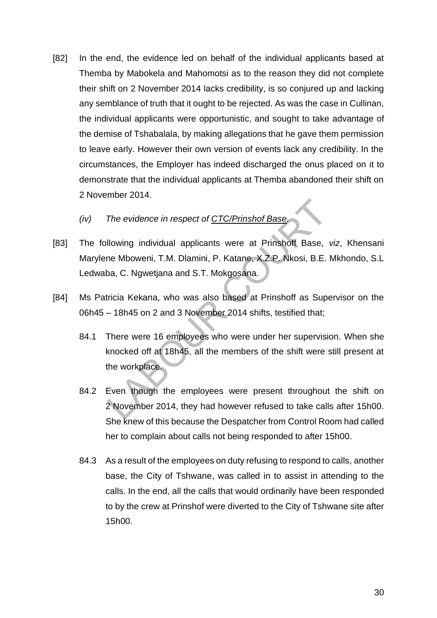[82] In the end, the evidence led on behalf of the individual applicants based at Themba by Mabokela and Mahomotsi as to the reason they did not complete their shift on 2 November 2014 lacks credibility, is so conjured up and lacking any semblance of truth that it ought to be rejected. As was the case in Cullinan, the individual applicants were opportunistic, and sought to take advantage of the demise of Tshabalala, by making allegations that he gave them permission to leave early. However their own version of events lack any credibility. In the circumstances, the Employer has indeed discharged the onus placed on it to demonstrate that the individual applicants at Themba abandoned their shift on 2 November 2014.

### *(iv) The evidence in respect of CTC/Prinshof Base.*

- [83] The following individual applicants were at Prinshoff Base, *viz*, Khensani Marylene Mboweni, T.M. Dlamini, P. Katane, X.Z.P. Nkosi, B.E. Mkhondo, S.L Ledwaba, C. Ngwetjana and S.T. Mokgosana.
- [84] Ms Patricia Kekana, who was also based at Prinshoff as Supervisor on the 06h45 – 18h45 on 2 and 3 November 2014 shifts, testified that;
	- 84.1 There were 16 employees who were under her supervision. When she knocked off at 18h45, all the members of the shift were still present at the workplace.
	- 84.2 Even though the employees were present throughout the shift on 2 November 2014, they had however refused to take calls after 15h00. She knew of this because the Despatcher from Control Room had called her to complain about calls not being responded to after 15h00.
	- 84.3 As a result of the employees on duty refusing to respond to calls, another base, the City of Tshwane, was called in to assist in attending to the calls. In the end, all the calls that would ordinarily have been responded to by the crew at Prinshof were diverted to the City of Tshwane site after 15h00.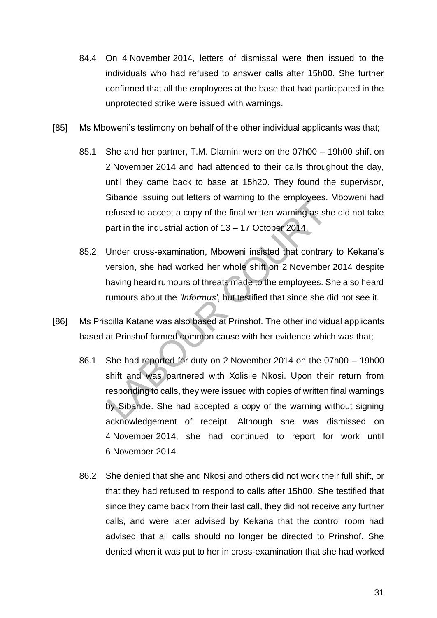- 84.4 On 4 November 2014, letters of dismissal were then issued to the individuals who had refused to answer calls after 15h00. She further confirmed that all the employees at the base that had participated in the unprotected strike were issued with warnings.
- [85] Ms Mboweni's testimony on behalf of the other individual applicants was that;
	- 85.1 She and her partner, T.M. Dlamini were on the 07h00 19h00 shift on 2 November 2014 and had attended to their calls throughout the day, until they came back to base at 15h20. They found the supervisor, Sibande issuing out letters of warning to the employees. Mboweni had refused to accept a copy of the final written warning as she did not take part in the industrial action of 13 – 17 October 2014.
	- 85.2 Under cross-examination, Mboweni insisted that contrary to Kekana's version, she had worked her whole shift on 2 November 2014 despite having heard rumours of threats made to the employees. She also heard rumours about the *'Informus'*, but testified that since she did not see it.
- [86] Ms Priscilla Katane was also based at Prinshof. The other individual applicants based at Prinshof formed common cause with her evidence which was that;
	- 86.1 She had reported for duty on 2 November 2014 on the 07h00 19h00 shift and was partnered with Xolisile Nkosi. Upon their return from responding to calls, they were issued with copies of written final warnings by Sibande. She had accepted a copy of the warning without signing acknowledgement of receipt. Although she was dismissed on 4 November 2014, she had continued to report for work until 6 November 2014.
	- 86.2 She denied that she and Nkosi and others did not work their full shift, or that they had refused to respond to calls after 15h00. She testified that since they came back from their last call, they did not receive any further calls, and were later advised by Kekana that the control room had advised that all calls should no longer be directed to Prinshof. She denied when it was put to her in cross-examination that she had worked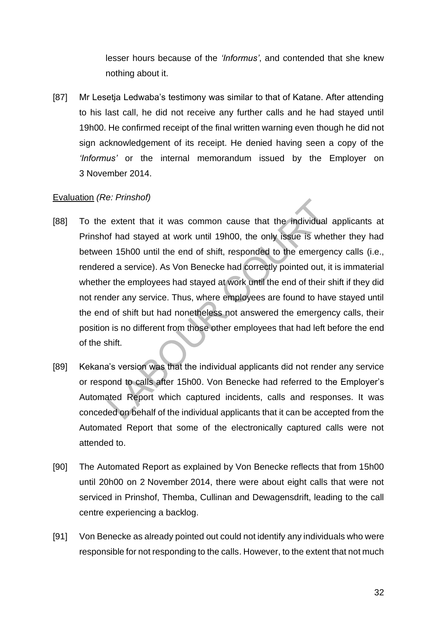lesser hours because of the *'Informus'*, and contended that she knew nothing about it.

[87] Mr Lesetja Ledwaba's testimony was similar to that of Katane. After attending to his last call, he did not receive any further calls and he had stayed until 19h00. He confirmed receipt of the final written warning even though he did not sign acknowledgement of its receipt. He denied having seen a copy of the *'Informus'* or the internal memorandum issued by the Employer on 3 November 2014.

#### Evaluation *(Re: Prinshof)*

- [88] To the extent that it was common cause that the individual applicants at Prinshof had stayed at work until 19h00, the only issue is whether they had between 15h00 until the end of shift, responded to the emergency calls (i.e., rendered a service). As Von Benecke had correctly pointed out, it is immaterial whether the employees had stayed at work until the end of their shift if they did not render any service. Thus, where employees are found to have stayed until the end of shift but had nonetheless not answered the emergency calls, their position is no different from those other employees that had left before the end of the shift.
- [89] Kekana's version was that the individual applicants did not render any service or respond to calls after 15h00. Von Benecke had referred to the Employer's Automated Report which captured incidents, calls and responses. It was conceded on behalf of the individual applicants that it can be accepted from the Automated Report that some of the electronically captured calls were not attended to.
- [90] The Automated Report as explained by Von Benecke reflects that from 15h00 until 20h00 on 2 November 2014, there were about eight calls that were not serviced in Prinshof, Themba, Cullinan and Dewagensdrift, leading to the call centre experiencing a backlog.
- [91] Von Benecke as already pointed out could not identify any individuals who were responsible for not responding to the calls. However, to the extent that not much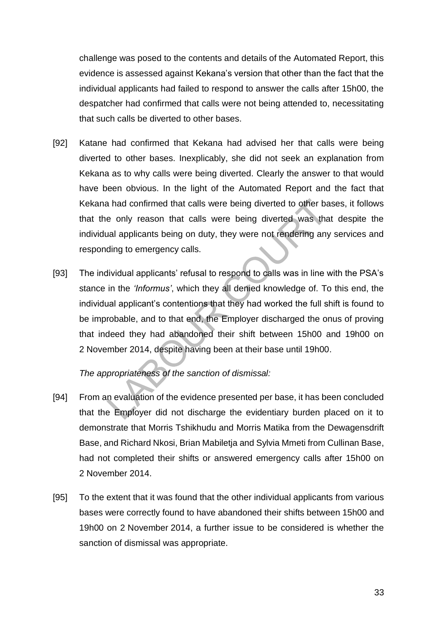challenge was posed to the contents and details of the Automated Report, this evidence is assessed against Kekana's version that other than the fact that the individual applicants had failed to respond to answer the calls after 15h00, the despatcher had confirmed that calls were not being attended to, necessitating that such calls be diverted to other bases.

- [92] Katane had confirmed that Kekana had advised her that calls were being diverted to other bases. Inexplicably, she did not seek an explanation from Kekana as to why calls were being diverted. Clearly the answer to that would have been obvious. In the light of the Automated Report and the fact that Kekana had confirmed that calls were being diverted to other bases, it follows that the only reason that calls were being diverted was that despite the individual applicants being on duty, they were not rendering any services and responding to emergency calls.
- [93] The individual applicants' refusal to respond to calls was in line with the PSA's stance in the *'Informus'*, which they all denied knowledge of. To this end, the individual applicant's contentions that they had worked the full shift is found to be improbable, and to that end, the Employer discharged the onus of proving that indeed they had abandoned their shift between 15h00 and 19h00 on 2 November 2014, despite having been at their base until 19h00.

### *The appropriateness of the sanction of dismissal:*

- [94] From an evaluation of the evidence presented per base, it has been concluded that the Employer did not discharge the evidentiary burden placed on it to demonstrate that Morris Tshikhudu and Morris Matika from the Dewagensdrift Base, and Richard Nkosi, Brian Mabiletja and Sylvia Mmeti from Cullinan Base, had not completed their shifts or answered emergency calls after 15h00 on 2 November 2014.
- [95] To the extent that it was found that the other individual applicants from various bases were correctly found to have abandoned their shifts between 15h00 and 19h00 on 2 November 2014, a further issue to be considered is whether the sanction of dismissal was appropriate.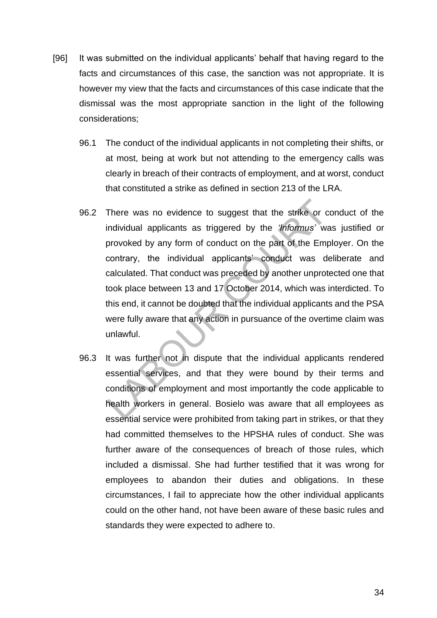- [96] It was submitted on the individual applicants' behalf that having regard to the facts and circumstances of this case, the sanction was not appropriate. It is however my view that the facts and circumstances of this case indicate that the dismissal was the most appropriate sanction in the light of the following considerations;
	- 96.1 The conduct of the individual applicants in not completing their shifts, or at most, being at work but not attending to the emergency calls was clearly in breach of their contracts of employment, and at worst, conduct that constituted a strike as defined in section 213 of the LRA.
	- 96.2 There was no evidence to suggest that the strike or conduct of the individual applicants as triggered by the *'Informus'* was justified or provoked by any form of conduct on the part of the Employer. On the contrary, the individual applicants' conduct was deliberate and calculated. That conduct was preceded by another unprotected one that took place between 13 and 17 October 2014, which was interdicted. To this end, it cannot be doubted that the individual applicants and the PSA were fully aware that any action in pursuance of the overtime claim was unlawful.
	- 96.3 It was further not in dispute that the individual applicants rendered essential services, and that they were bound by their terms and conditions of employment and most importantly the code applicable to health workers in general. Bosielo was aware that all employees as essential service were prohibited from taking part in strikes, or that they had committed themselves to the HPSHA rules of conduct. She was further aware of the consequences of breach of those rules, which included a dismissal. She had further testified that it was wrong for employees to abandon their duties and obligations. In these circumstances, I fail to appreciate how the other individual applicants could on the other hand, not have been aware of these basic rules and standards they were expected to adhere to.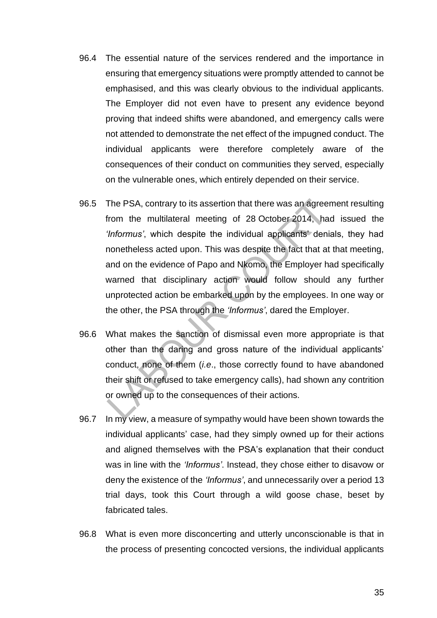- 96.4 The essential nature of the services rendered and the importance in ensuring that emergency situations were promptly attended to cannot be emphasised, and this was clearly obvious to the individual applicants. The Employer did not even have to present any evidence beyond proving that indeed shifts were abandoned, and emergency calls were not attended to demonstrate the net effect of the impugned conduct. The individual applicants were therefore completely aware of the consequences of their conduct on communities they served, especially on the vulnerable ones, which entirely depended on their service.
- 96.5 The PSA, contrary to its assertion that there was an agreement resulting from the multilateral meeting of 28 October 2014, had issued the *'Informus'*, which despite the individual applicants' denials, they had nonetheless acted upon. This was despite the fact that at that meeting, and on the evidence of Papo and Nkomo, the Employer had specifically warned that disciplinary action would follow should any further unprotected action be embarked upon by the employees. In one way or the other, the PSA through the *'Informus'*, dared the Employer.
- 96.6 What makes the sanction of dismissal even more appropriate is that other than the daring and gross nature of the individual applicants' conduct, none of them (*i.e*., those correctly found to have abandoned their shift or refused to take emergency calls), had shown any contrition or owned up to the consequences of their actions.
- 96.7 In my view, a measure of sympathy would have been shown towards the individual applicants' case, had they simply owned up for their actions and aligned themselves with the PSA's explanation that their conduct was in line with the *'Informus'*. Instead, they chose either to disavow or deny the existence of the *'Informus'*, and unnecessarily over a period 13 trial days, took this Court through a wild goose chase, beset by fabricated tales.
- 96.8 What is even more disconcerting and utterly unconscionable is that in the process of presenting concocted versions, the individual applicants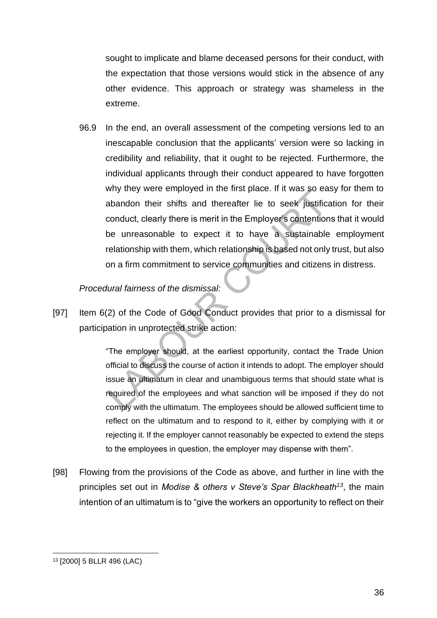sought to implicate and blame deceased persons for their conduct, with the expectation that those versions would stick in the absence of any other evidence. This approach or strategy was shameless in the extreme.

96.9 In the end, an overall assessment of the competing versions led to an inescapable conclusion that the applicants' version were so lacking in credibility and reliability, that it ought to be rejected. Furthermore, the individual applicants through their conduct appeared to have forgotten why they were employed in the first place. If it was so easy for them to abandon their shifts and thereafter lie to seek justification for their conduct, clearly there is merit in the Employer's contentions that it would be unreasonable to expect it to have a sustainable employment relationship with them, which relationship is based not only trust, but also on a firm commitment to service communities and citizens in distress.

#### *Procedural fairness of the dismissal:*

[97] Item 6(2) of the Code of Good Conduct provides that prior to a dismissal for participation in unprotected strike action:

> "The employer should, at the earliest opportunity, contact the Trade Union official to discuss the course of action it intends to adopt. The employer should issue an ultimatum in clear and unambiguous terms that should state what is required of the employees and what sanction will be imposed if they do not comply with the ultimatum. The employees should be allowed sufficient time to reflect on the ultimatum and to respond to it, either by complying with it or rejecting it. If the employer cannot reasonably be expected to extend the steps to the employees in question, the employer may dispense with them".

[98] Flowing from the provisions of the Code as above, and further in line with the principles set out in *Modise & others v Steve's Spar Blackheath<sup>13</sup>* , the main intention of an ultimatum is to "give the workers an opportunity to reflect on their

<sup>13</sup> [2000] 5 BLLR 496 (LAC)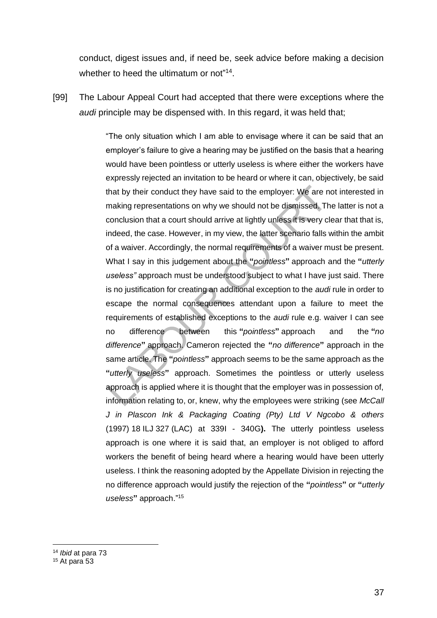conduct, digest issues and, if need be, seek advice before making a decision whether to heed the ultimatum or not"<sup>14</sup>.

[99] The Labour Appeal Court had accepted that there were exceptions where the *audi* principle may be dispensed with. In this regard, it was held that;

> "The only situation which I am able to envisage where it can be said that an employer's failure to give a hearing may be justified on the basis that a hearing would have been pointless or utterly useless is where either the workers have expressly rejected an invitation to be heard or where it can, objectively, be said that by their conduct they have said to the employer: We are not interested in making representations on why we should not be dismissed. The latter is not a conclusion that a court should arrive at lightly unless it is very clear that that is, indeed, the case. However, in my view, the latter scenario falls within the ambit of a waiver. Accordingly, the normal requirements of a waiver must be present. What I say in this judgement about the **"***pointless***"** approach and the **"***utterly useless"* approach must be understood subject to what I have just said. There is no justification for creating an additional exception to the *audi* rule in order to escape the normal consequences attendant upon a failure to meet the requirements of established exceptions to the *audi* rule e.g. waiver I can see no difference between this **"***pointless***"** approach and the **"***no difference***"** approach. Cameron rejected the **"***no difference***"** approach in the same article. The **"***pointless***"** approach seems to be the same approach as the **"***utterly useless***"** approach. Sometimes the pointless or utterly useless approach is applied where it is thought that the employer was in possession of, information relating to, or, knew, why the employees were striking (see *McCall J in Plascon Ink & Packaging Coating (Pty) Ltd V Ngcobo & others* (1997) 18 ILJ 327 (LAC) at 339I - 340G**).** The utterly pointless useless approach is one where it is said that, an employer is not obliged to afford workers the benefit of being heard where a hearing would have been utterly useless. I think the reasoning adopted by the Appellate Division in rejecting the no difference approach would justify the rejection of the **"***pointless***"** or **"***utterly useless***"** approach." 15

<sup>14</sup> *Ibid* at para 73

<sup>15</sup> At para 53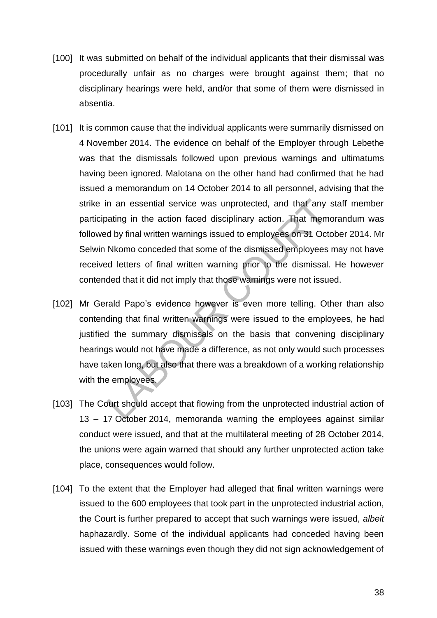- [100] It was submitted on behalf of the individual applicants that their dismissal was procedurally unfair as no charges were brought against them; that no disciplinary hearings were held, and/or that some of them were dismissed in absentia.
- [101] It is common cause that the individual applicants were summarily dismissed on 4 November 2014. The evidence on behalf of the Employer through Lebethe was that the dismissals followed upon previous warnings and ultimatums having been ignored. Malotana on the other hand had confirmed that he had issued a memorandum on 14 October 2014 to all personnel, advising that the strike in an essential service was unprotected, and that any staff member participating in the action faced disciplinary action. That memorandum was followed by final written warnings issued to employees on 31 October 2014. Mr Selwin Nkomo conceded that some of the dismissed employees may not have received letters of final written warning prior to the dismissal. He however contended that it did not imply that those warnings were not issued.
- [102] Mr Gerald Papo's evidence however is even more telling. Other than also contending that final written warnings were issued to the employees, he had justified the summary dismissals on the basis that convening disciplinary hearings would not have made a difference, as not only would such processes have taken long, but also that there was a breakdown of a working relationship with the employees.
- [103] The Court should accept that flowing from the unprotected industrial action of 13 – 17 October 2014, memoranda warning the employees against similar conduct were issued, and that at the multilateral meeting of 28 October 2014, the unions were again warned that should any further unprotected action take place, consequences would follow.
- [104] To the extent that the Employer had alleged that final written warnings were issued to the 600 employees that took part in the unprotected industrial action, the Court is further prepared to accept that such warnings were issued, *albeit* haphazardly. Some of the individual applicants had conceded having been issued with these warnings even though they did not sign acknowledgement of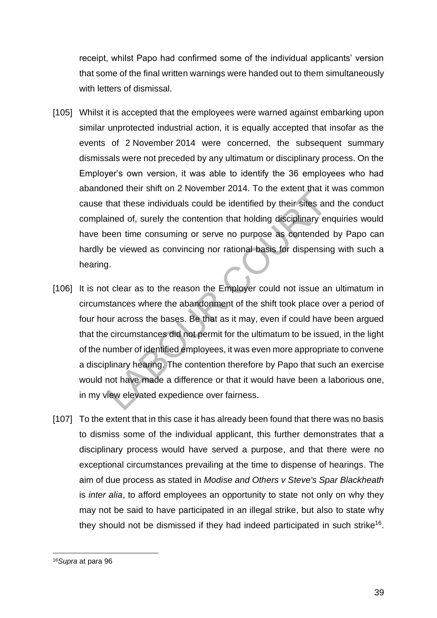receipt, whilst Papo had confirmed some of the individual applicants' version that some of the final written warnings were handed out to them simultaneously with letters of dismissal.

- [105] Whilst it is accepted that the employees were warned against embarking upon similar unprotected industrial action, it is equally accepted that insofar as the events of 2 November 2014 were concerned, the subsequent summary dismissals were not preceded by any ultimatum or disciplinary process. On the Employer's own version, it was able to identify the 36 employees who had abandoned their shift on 2 November 2014. To the extent that it was common cause that these individuals could be identified by their sites and the conduct complained of, surely the contention that holding disciplinary enquiries would have been time consuming or serve no purpose as contended by Papo can hardly be viewed as convincing nor rational basis for dispensing with such a hearing.
- [106] It is not clear as to the reason the Employer could not issue an ultimatum in circumstances where the abandonment of the shift took place over a period of four hour across the bases. Be that as it may, even if could have been argued that the circumstances did not permit for the ultimatum to be issued, in the light of the number of identified employees, it was even more appropriate to convene a disciplinary hearing. The contention therefore by Papo that such an exercise would not have made a difference or that it would have been a laborious one, in my view elevated expedience over fairness.
- [107] To the extent that in this case it has already been found that there was no basis to dismiss some of the individual applicant, this further demonstrates that a disciplinary process would have served a purpose, and that there were no exceptional circumstances prevailing at the time to dispense of hearings. The aim of due process as stated in *Modise and Others v Steve's Spar Blackheath* is *inter alia*, to afford employees an opportunity to state not only on why they may not be said to have participated in an illegal strike, but also to state why they should not be dismissed if they had indeed participated in such strike<sup>16</sup>.

<sup>16</sup>*Supra* at para 96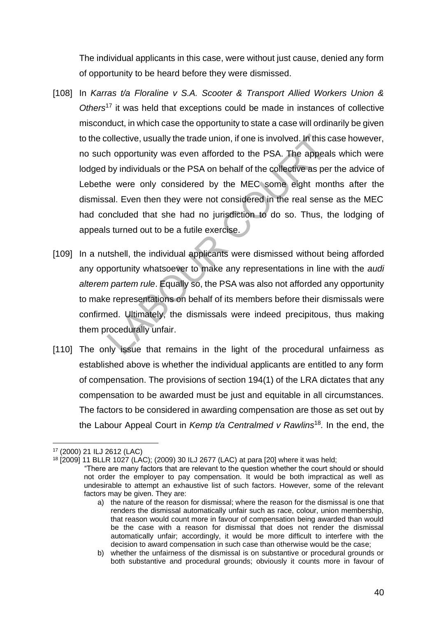The individual applicants in this case, were without just cause, denied any form of opportunity to be heard before they were dismissed.

- [108] In *Karras t/a Floraline v S.A. Scooter & Transport Allied Workers Union & Others*<sup>17</sup> it was held that exceptions could be made in instances of collective misconduct, in which case the opportunity to state a case will ordinarily be given to the collective, usually the trade union, if one is involved. In this case however, no such opportunity was even afforded to the PSA. The appeals which were lodged by individuals or the PSA on behalf of the collective as per the advice of Lebethe were only considered by the MEC some eight months after the dismissal. Even then they were not considered in the real sense as the MEC had concluded that she had no jurisdiction to do so. Thus, the lodging of appeals turned out to be a futile exercise.
- [109] In a nutshell, the individual applicants were dismissed without being afforded any opportunity whatsoever to make any representations in line with the *audi alterem partem rule*. Equally so, the PSA was also not afforded any opportunity to make representations on behalf of its members before their dismissals were confirmed. Ultimately, the dismissals were indeed precipitous, thus making them procedurally unfair.
- [110] The only issue that remains in the light of the procedural unfairness as established above is whether the individual applicants are entitled to any form of compensation. The provisions of section 194(1) of the LRA dictates that any compensation to be awarded must be just and equitable in all circumstances. The factors to be considered in awarding compensation are those as set out by the Labour Appeal Court in *Kemp t/a Centralmed v Rawlins*<sup>18</sup> *.* In the end, the

<sup>17</sup> (2000) 21 ILJ 2612 (LAC)

<sup>18 [2009] 11</sup> BLLR 1027 (LAC); (2009) 30 ILJ 2677 (LAC) at para [20] where it was held;

<sup>&</sup>quot;There are many factors that are relevant to the question whether the court should or should not order the employer to pay compensation. It would be both impractical as well as undesirable to attempt an exhaustive list of such factors. However, some of the relevant factors may be given. They are:

a) the nature of the reason for dismissal; where the reason for the dismissal is one that renders the dismissal automatically unfair such as race, colour, union membership, that reason would count more in favour of compensation being awarded than would be the case with a reason for dismissal that does not render the dismissal automatically unfair; accordingly, it would be more difficult to interfere with the decision to award compensation in such case than otherwise would be the case;

b) whether the unfairness of the dismissal is on substantive or procedural grounds or both substantive and procedural grounds; obviously it counts more in favour of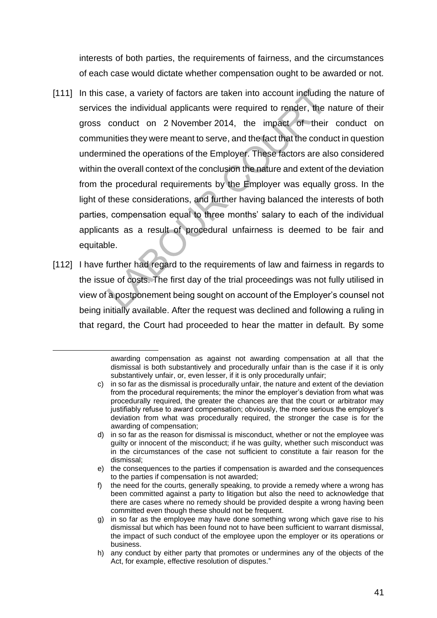interests of both parties, the requirements of fairness, and the circumstances of each case would dictate whether compensation ought to be awarded or not.

- [111] In this case, a variety of factors are taken into account including the nature of services the individual applicants were required to render, the nature of their gross conduct on 2 November 2014, the impact of their conduct on communities they were meant to serve, and the fact that the conduct in question undermined the operations of the Employer. These factors are also considered within the overall context of the conclusion the nature and extent of the deviation from the procedural requirements by the Employer was equally gross. In the light of these considerations, and further having balanced the interests of both parties, compensation equal to three months' salary to each of the individual applicants as a result of procedural unfairness is deemed to be fair and equitable.
- [112] I have further had regard to the requirements of law and fairness in regards to the issue of costs. The first day of the trial proceedings was not fully utilised in view of a postponement being sought on account of the Employer's counsel not being initially available. After the request was declined and following a ruling in that regard, the Court had proceeded to hear the matter in default. By some

awarding compensation as against not awarding compensation at all that the dismissal is both substantively and procedurally unfair than is the case if it is only substantively unfair, or, even lesser, if it is only procedurally unfair;

c) in so far as the dismissal is procedurally unfair, the nature and extent of the deviation from the procedural requirements; the minor the employer's deviation from what was procedurally required, the greater the chances are that the court or arbitrator may justifiably refuse to award compensation; obviously, the more serious the employer's deviation from what was procedurally required, the stronger the case is for the awarding of compensation;

d) in so far as the reason for dismissal is misconduct, whether or not the employee was guilty or innocent of the misconduct; if he was guilty, whether such misconduct was in the circumstances of the case not sufficient to constitute a fair reason for the dismissal;

e) the consequences to the parties if compensation is awarded and the consequences to the parties if compensation is not awarded;

f) the need for the courts, generally speaking, to provide a remedy where a wrong has been committed against a party to litigation but also the need to acknowledge that there are cases where no remedy should be provided despite a wrong having been committed even though these should not be frequent.

g) in so far as the employee may have done something wrong which gave rise to his dismissal but which has been found not to have been sufficient to warrant dismissal, the impact of such conduct of the employee upon the employer or its operations or business.

h) any conduct by either party that promotes or undermines any of the objects of the Act, for example, effective resolution of disputes."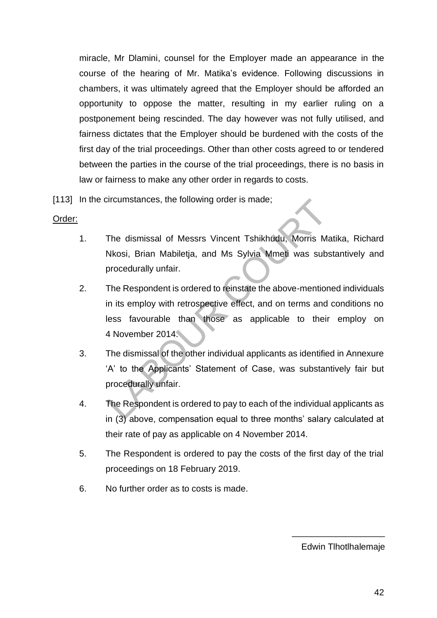miracle, Mr Dlamini, counsel for the Employer made an appearance in the course of the hearing of Mr. Matika's evidence. Following discussions in chambers, it was ultimately agreed that the Employer should be afforded an opportunity to oppose the matter, resulting in my earlier ruling on a postponement being rescinded. The day however was not fully utilised, and fairness dictates that the Employer should be burdened with the costs of the first day of the trial proceedings. Other than other costs agreed to or tendered between the parties in the course of the trial proceedings, there is no basis in law or fairness to make any other order in regards to costs.

[113] In the circumstances, the following order is made;

#### Order:

- 1. The dismissal of Messrs Vincent Tshikhudu, Morris Matika, Richard Nkosi, Brian Mabiletja, and Ms Sylvia Mmeti was substantively and procedurally unfair.
- 2. The Respondent is ordered to reinstate the above-mentioned individuals in its employ with retrospective effect, and on terms and conditions no less favourable than those as applicable to their employ on 4 November 2014.
- 3. The dismissal of the other individual applicants as identified in Annexure 'A' to the Applicants' Statement of Case, was substantively fair but procedurally unfair.
- 4. The Respondent is ordered to pay to each of the individual applicants as in (3) above, compensation equal to three months' salary calculated at their rate of pay as applicable on 4 November 2014.
- 5. The Respondent is ordered to pay the costs of the first day of the trial proceedings on 18 February 2019.
- 6. No further order as to costs is made.

Edwin Tlhotlhalemaje

\_\_\_\_\_\_\_\_\_\_\_\_\_\_\_\_\_\_\_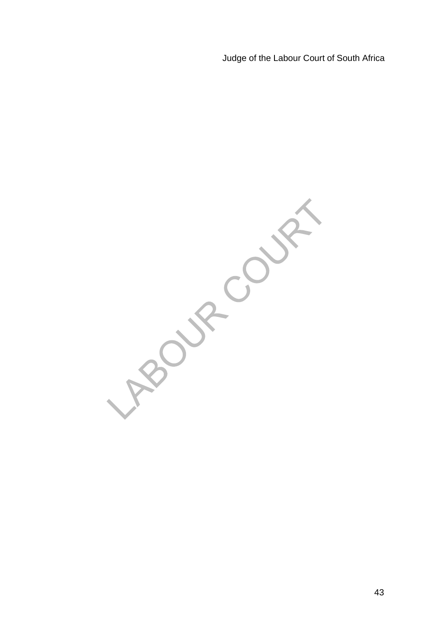Judge of the Labour Court of South Africa

Boundary Cr **Purchase**